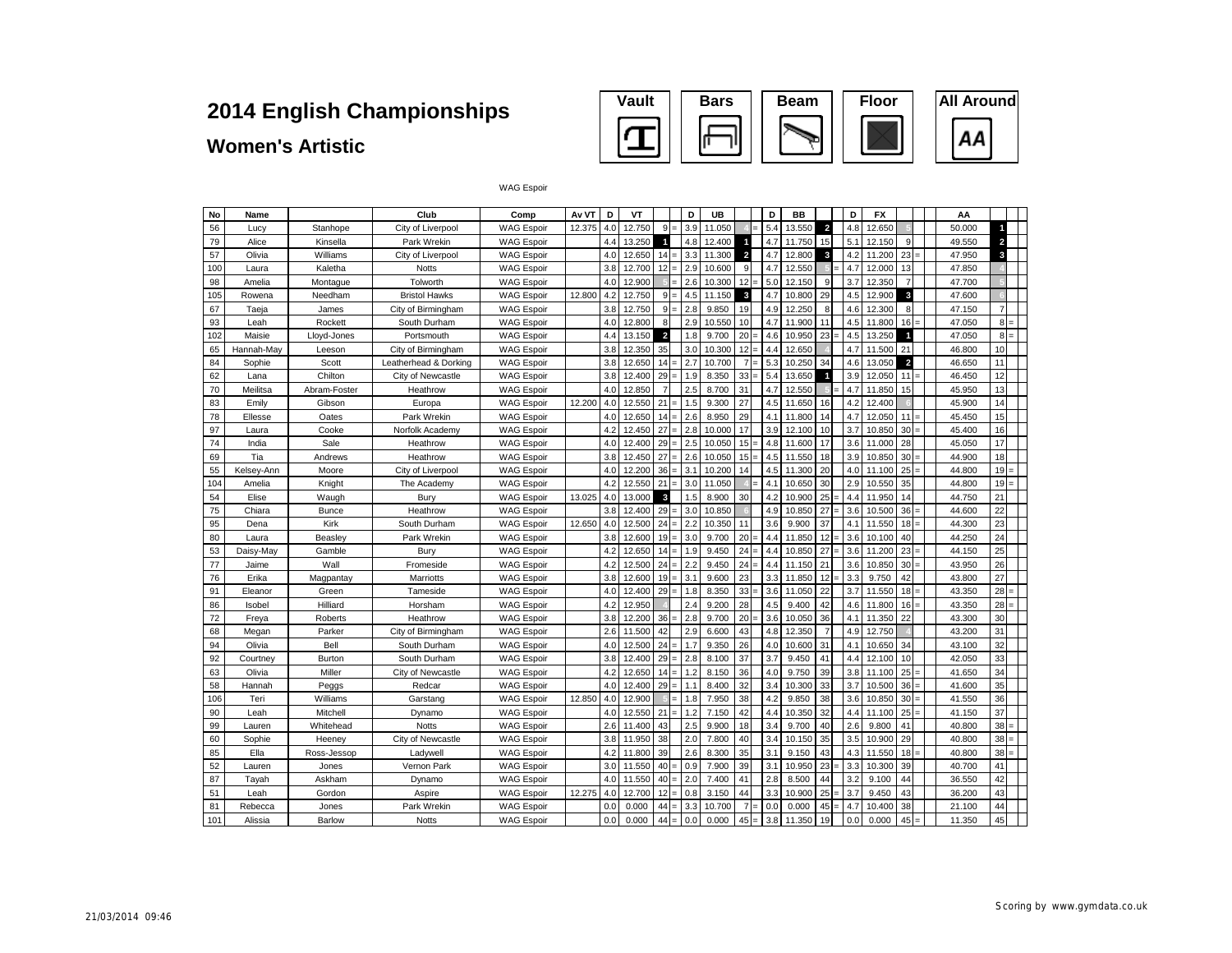#### **Women's Artistic**



| No  | Name       |              | Club                  | Comp              | Av VT  | D   | VT     |                         |            | D               | UB     |                | D   | BB     |                         | D   | <b>FX</b> |                |     | AA     |                         |  |
|-----|------------|--------------|-----------------------|-------------------|--------|-----|--------|-------------------------|------------|-----------------|--------|----------------|-----|--------|-------------------------|-----|-----------|----------------|-----|--------|-------------------------|--|
| 56  | Lucy       | Stanhope     | City of Liverpool     | <b>WAG Espoir</b> | 12.375 | 4.0 | 12.750 | 9<br>۳                  |            | 3.9             | 11.050 |                | 5.4 | 13.550 | $\overline{\mathbf{2}}$ | 4.8 | 12.650    |                |     | 50.000 | 1                       |  |
| 79  | Alice      | Kinsella     | Park Wrekin           | <b>WAG Espoir</b> |        | 4.4 | 13.250 | $\overline{1}$          |            | 4.8             | 12.400 |                | 4.7 | 11.750 | 15                      | 5.1 | 12.150    | $\mathbf{Q}$   |     | 49.550 | $\overline{\mathbf{2}}$ |  |
| 57  | Olivia     | Williams     | City of Liverpool     | <b>WAG Espoir</b> |        | 4.0 | 12.650 | 14                      | $=$        | 3.3             | 11.300 | $\overline{2}$ | 4.7 | 12.800 | $\mathbf{3}$            | 4.2 | 11.200    | 23             |     | 47.950 | $\overline{\mathbf{3}}$ |  |
| 100 | Laura      | Kaletha      | <b>Notts</b>          | <b>WAG Espoir</b> |        | 3.8 | 12.700 | 12                      |            | 2.9             | 10.600 | 9              | 4.7 | 12.550 |                         | 4.7 | 12.000    | 13             |     | 47.850 |                         |  |
| 98  | Amelia     | Montaque     | Tolworth              | <b>WAG Espoir</b> |        | 4.0 | 12.900 |                         |            | 2.6             | 10.300 | 12             | 5.0 | 12.150 | 9                       | 3.7 | 12.350    | $\overline{7}$ |     | 47.700 |                         |  |
| 105 | Rowena     | Needham      | <b>Bristol Hawks</b>  | <b>WAG Espoir</b> | 12.800 | 4.2 | 12.750 | 9<br>-                  |            | 4.5             | 11.150 | 3              | 4.7 | 10.800 | 29                      | 4.5 | 12.900    | $\mathbf{3}$   |     | 47.600 |                         |  |
| 67  | Taeja      | James        | City of Birmingham    | <b>WAG Espoir</b> |        | 3.8 | 12.750 | 9                       |            | 2.8             | 9.850  | 19             | 4.9 | 12.250 | 8                       | 4.6 | 12.300    | 8              |     | 47.150 | $\overline{7}$          |  |
| 93  | Leah       | Rockett      | South Durham          | <b>WAG Espoir</b> |        | 4.0 | 12.800 | 8                       |            | 2.9             | 10.550 | 10             | 4.7 | 11.900 | 11                      | 4.5 | 11.800    | 16             |     | 47.050 | 8                       |  |
| 102 | Maisie     | Lloyd-Jones  | Portsmouth            | <b>WAG Espoir</b> |        | 4.4 | 13.150 | $\overline{\mathbf{z}}$ |            | 1.8             | 9.700  | 20             | 4.6 | 10.950 | 23                      | 4.5 | 13.250    | $\mathbf{1}$   |     | 47.050 | 8                       |  |
| 65  | Hannah-Mav | Leeson       | City of Birmingham    | <b>WAG Espoir</b> |        | 3.8 | 12.350 | 35                      |            | 3 <sub>c</sub>  | 10.300 | 12             | 4.4 | 12.650 |                         | 4.7 | 11.500    | 21             |     | 46.800 | 10                      |  |
| 84  | Sophie     | Scott        | Leatherhead & Dorking | <b>WAG Espoir</b> |        | 3.8 | 12.650 | 14<br>۳                 |            | 2.7             | 10.700 | $\overline{7}$ | 5.3 | 10.250 | 34                      | 4.6 | 13.050    | $\overline{a}$ |     | 46.650 | 11                      |  |
| 62  | Lana       | Chilton      | City of Newcastle     | <b>WAG Espoir</b> |        | 3.8 | 12.400 | 29                      |            | 1.9             | 8.350  | 33             | 5.4 | 13.650 | 1                       | 3.9 | 12.050    | 11             |     | 46.450 | 12                      |  |
| 70  | Meilitsa   | Abram-Foster | Heathrow              | <b>WAG Espoir</b> |        | 4.0 | 12.850 | $\overline{7}$          |            | 2.5             | 8.700  | 31             | 4.7 | 12.550 |                         | 4.7 | 11.850    | 15             |     | 45.950 | 13                      |  |
| 83  | Emily      | Gibson       | Europa                | <b>WAG Espoir</b> | 12,200 | 4.0 | 12.550 | 21                      |            | 1.5             | 9.300  | 27             | 4.5 | 11.650 | 16                      | 4.2 | 12.400    |                |     | 45.900 | 14                      |  |
| 78  | Ellesse    | Oates        | Park Wrekin           | <b>WAG Espoir</b> |        | 4.0 | 12.650 | 14                      | 2.6        |                 | 8.950  | 29             | 4.1 | 11.800 | 14                      | 4.7 | 12.050    | 11             |     | 45.450 | 15                      |  |
| 97  | Laura      | Cooke        | Norfolk Academy       | <b>WAG Espoir</b> |        | 4.2 | 12.450 | 27                      |            | 2.8             | 10.000 | 17             | 3.9 | 12.100 | 10                      | 3.7 | 10.850    | 30             |     | 45.400 | 16                      |  |
| 74  | India      | Sale         | Heathrow              | <b>WAG Espoir</b> |        | 4.0 | 12.400 | 29                      |            | 2.5             | 10.050 | 15             | 4.8 | 11.600 | 17                      | 3.6 | 11.000    | 28             |     | 45.050 | 17                      |  |
| 69  | Tia        | Andrews      | Heathrow              | <b>WAG Espoir</b> |        | 3.8 | 12.450 | 27                      |            | 2.6             | 10.050 | 15             | 4.5 | 11.550 | 18                      | 3.9 | 10.850    | 30             |     | 44.900 | 18                      |  |
| 55  | Kelsey-Ann | Moore        | City of Liverpool     | <b>WAG Espoir</b> |        | 4.0 | 12.200 | 36                      | 3.1        |                 | 10.200 | 14             | 4.5 | 11.300 | 20                      | 4.0 | 11.100    | 25             |     | 44.800 | 19                      |  |
| 104 | Amelia     | Knight       | The Academy           | <b>WAG Espoir</b> |        | 4.2 | 12.550 | 21                      |            | 3.0             | 11.050 |                | 4.1 | 10.650 | 30                      | 2.9 | 10.550    | 35             |     | 44.800 | 19                      |  |
| 54  | Elise      | Waugh        | Bury                  | <b>WAG Espoir</b> | 13.025 | 4.0 | 13.000 | $\mathbf{3}$            |            | 1.5             | 8.900  | 30             | 4.2 | 10.900 | 25                      | 4.4 | 11.950    | 14             |     | 44.750 | 21                      |  |
| 75  | Chiara     | <b>Bunce</b> | Heathrow              | <b>WAG Espoir</b> |        | 3.8 | 12.400 | 29                      |            | 3 <sub>c</sub>  | 10.850 |                | 4.9 | 10.850 | 27                      | 3.6 | 10.500    | 36             |     | 44.600 | 22                      |  |
| 95  | Dena       | Kirk         | South Durham          | <b>WAG Espoir</b> | 12.650 | 4.0 | 12.500 | 24<br>-                 | 2.2        |                 | 10.350 | 11             | 3.6 | 9.900  | 37                      | 4.1 | 11.550    | 18             |     | 44.300 | 23                      |  |
| 80  | Laura      | Beasley      | Park Wrekin           | <b>WAG Espoir</b> |        | 3.8 | 12.600 | 19                      |            | 3.0             | 9.700  | 20             | 4.4 | 11.850 | 12                      | 3.6 | 10.100    | 40             |     | 44.250 | 24                      |  |
| 53  | Daisy-May  | Gamble       | Bury                  | <b>WAG Espoir</b> |        | 4.2 | 12.650 | 14                      |            | 1.9             | 9.450  | 24             | 4.4 | 10.850 | 27                      | 3.6 | 11.200    | 23             |     | 44.150 | 25                      |  |
| 77  | Jaime      | Wall         | Fromeside             | <b>WAG Espoir</b> |        | 4.2 | 12.500 | 24                      | 2.2<br>-   |                 | 9.450  | 24             | 4.4 | 11.150 | 21                      | 3.6 | 10.850    | 30             |     | 43.950 | 26                      |  |
| 76  | Erika      | Magpantay    | Marriotts             | <b>WAG Espoir</b> |        | 3.8 | 12.600 | 19                      | 3.1        |                 | 9.600  | 23             | 3.3 | 11.850 | 12                      | 3.3 | 9.750     | 42             |     | 43.800 | 27                      |  |
| 91  | Eleanor    | Green        | Tameside              | <b>WAG Espoir</b> |        | 4.0 | 12.400 | 29                      | -          | 1.8             | 8.350  | 33             | 3.6 | 11.050 | 22                      | 3.7 | 11.550    | 18             |     | 43.350 | 28                      |  |
| 86  | Isobel     | Hilliard     | Horsham               | <b>WAG Espoir</b> |        | 4.2 | 12.950 |                         |            | 2.4             | 9.200  | 28             | 4.5 | 9.400  | 42                      | 4.6 | 11.800    | 16             |     | 43.350 | 28                      |  |
| 72  | Freya      | Roberts      | Heathrow              | <b>WAG Espoir</b> |        | 3.8 | 12.200 | 36                      |            | 2.8             | 9.700  | 20             | 3.6 | 10.050 | 36                      | 4.1 | 11.350    | 22             |     | 43.300 | 30                      |  |
| 68  | Megan      | Parker       | City of Birmingham    | <b>WAG Espoir</b> |        | 2.6 | 11.500 | 42                      |            | 2.9             | 6.600  | 43             | 4.8 | 12.350 | $\overline{7}$          | 4.9 | 12.750    |                |     | 43.200 | 31                      |  |
| 94  | Olivia     | Bell         | South Durham          | <b>WAG Espoir</b> |        | 4.0 | 12.500 | 24                      |            | 1.7             | 9.350  | 26             | 4.0 | 10.600 | 31                      | 4.1 | 10.650    | 34             |     | 43.100 | 32                      |  |
| 92  | Courtney   | Burton       | South Durham          | <b>WAG Espoir</b> |        | 3.8 | 12.400 | 29                      | $=$        | 2.8             | 8.100  | 37             | 3.7 | 9.450  | 41                      | 4.4 | 12.100    | 10             |     | 42.050 | 33                      |  |
| 63  | Olivia     | Miller       | City of Newcastle     | <b>WAG Espoir</b> |        | 4.2 | 12.650 | 14                      |            | 1.2             | 8.150  | 36             | 4.0 | 9.750  | 39                      | 3.8 | 11.100    | 25             |     | 41.650 | 34                      |  |
| 58  | Hannah     | Peggs        | Redcar                | <b>WAG Espoir</b> |        | 4.0 | 12.400 | 29                      | 1.1<br>$=$ |                 | 8.400  | 32             | 3.4 | 10.300 | 33                      | 3.7 | 10.500    | 36             |     | 41.600 | 35                      |  |
| 106 | Teri       | Williams     | Garstang              | <b>WAG Espoir</b> | 12,850 | 4.0 | 12.900 |                         | $=$        | 1.8             | 7.950  | 38             | 4.2 | 9.850  | 38                      | 3.6 | 10.850    | 30             | $=$ | 41.550 | 36                      |  |
| 90  | Leah       | Mitchell     | Dynamo                | <b>WAG Espoir</b> |        | 4.0 | 12.550 | 21                      |            | 1.2             | 7.150  | 42             | 4.4 | 10.350 | 32                      | 4.4 | 11.100    | 25             |     | 41.150 | 37                      |  |
| 99  | Lauren     | Whitehead    | <b>Notts</b>          | <b>WAG Espoir</b> |        | 2.6 | 11.400 | 43                      |            | 2.5             | 9.900  | 18             | 3.4 | 9.700  | 40                      | 2.6 | 9.800     | 41             |     | 40.800 | 38                      |  |
| 60  | Sophie     | Heenev       | City of Newcastle     | <b>WAG Espoir</b> |        | 3.8 | 11.950 | 38                      |            | 2. <sub>C</sub> | 7.800  | 40             | 3.4 | 10.150 | 35                      | 3.5 | 10.900    | 29             |     | 40.800 | 38                      |  |
| 85  | Ella       | Ross-Jessop  | Ladywell              | <b>WAG Espoir</b> |        | 4.2 | 11.800 | 39                      |            | 2.6             | 8.300  | 35             | 3.1 | 9.150  | 43                      | 4.3 | 11.550    | 18             |     | 40.800 | 38                      |  |
| 52  | Lauren     | Jones        | Vernon Park           | <b>WAG Espoir</b> |        | 3.0 | 11.550 | 40                      |            | 0.9             | 7.900  | 39             | 3.1 | 10.950 | 23                      | 3.3 | 10.300    | 39             |     | 40.700 | 41                      |  |
| 87  | Tayah      | Askham       | Dynamo                | <b>WAG Espoir</b> |        | 4.0 | 11.550 | 40                      |            | 2. <sub>C</sub> | 7.400  | 41             | 2.8 | 8.500  | 44                      | 3.2 | 9.100     | 44             |     | 36.550 | 42                      |  |
| 51  | Leah       | Gordon       | Aspire                | <b>WAG Espoir</b> | 12.275 | 4.0 | 12.700 | 12                      |            | 0.8             | 3.150  | 44             | 3.3 | 10.900 | 25                      | 3.7 | 9.450     | 43             |     | 36.200 | 43                      |  |
| 81  | Rebecca    | Jones        | Park Wrekin           | <b>WAG Espoir</b> |        | 0.0 | 0.000  | 44                      |            | 3.3             | 10.700 | $\overline{7}$ | 0.0 | 0.000  | 45                      | 4.7 | 10.400    | 38             |     | 21.100 | 44                      |  |
| 101 | Alissia    | Barlow       | <b>Notts</b>          | <b>WAG Espoir</b> |        | 0.0 | 0.000  | 44<br>$=$               |            | 0.0             | 0.000  | 45             | 3.8 | 11.350 | 19                      | 0.0 | 0.000     | 45             | $=$ | 11.350 | 45                      |  |

WAG Espoir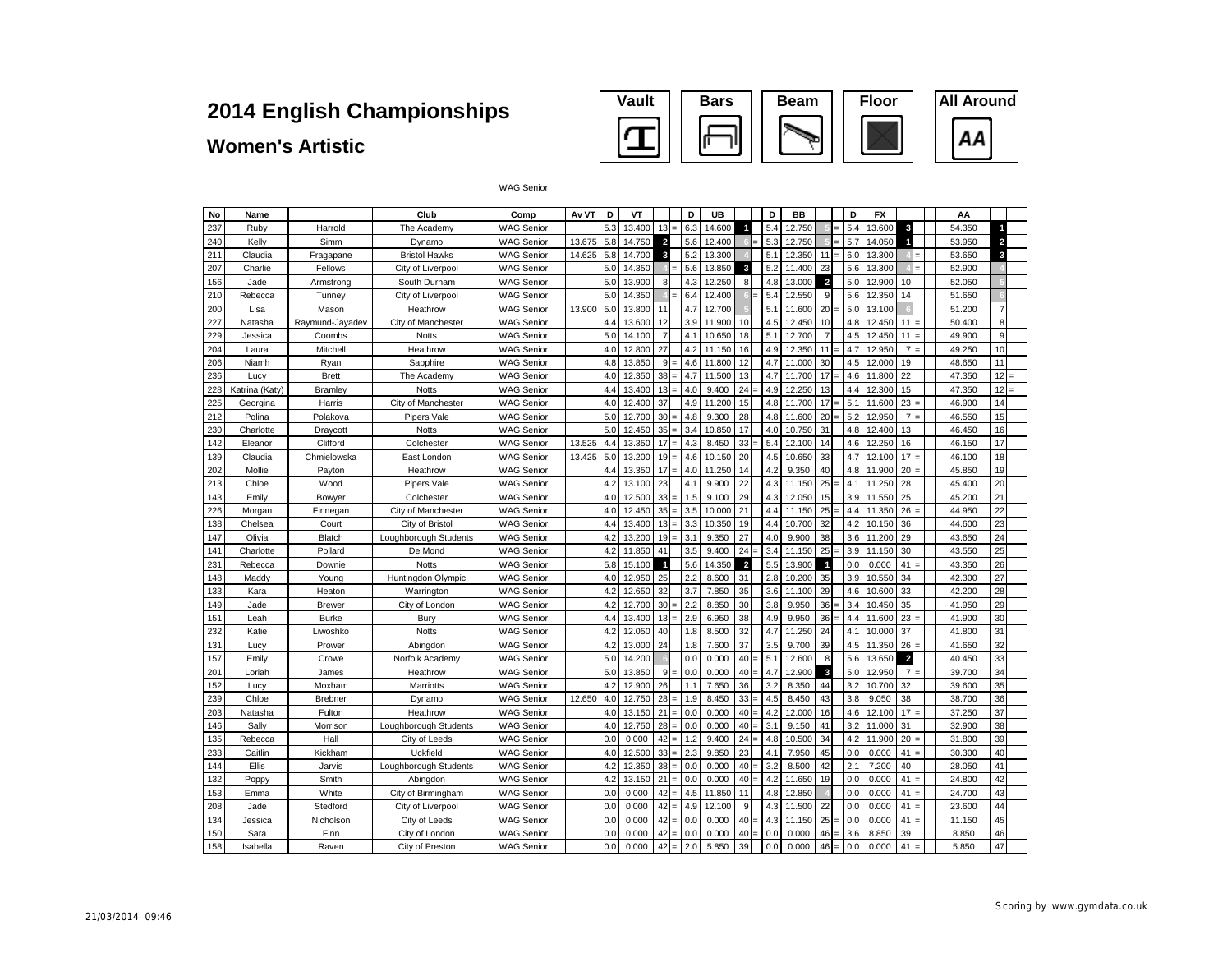#### **Women's Artistic**



| No  | Name           |                 | Club                  | Comp              | Av VT  | D   | VT     |                |   | D   | UB     |                         | D   | <b>BB</b> |                         | D   | <b>FX</b> |                         |  | AA     |                |  |
|-----|----------------|-----------------|-----------------------|-------------------|--------|-----|--------|----------------|---|-----|--------|-------------------------|-----|-----------|-------------------------|-----|-----------|-------------------------|--|--------|----------------|--|
| 237 | Ruby           | Harrold         | The Academy           | <b>WAG Senior</b> |        | 5.3 | 13.400 | 13             |   | 6.3 | 14.600 | $\blacktriangleleft$    | 5.4 | 12.750    |                         | 5.4 | 13.600    | 3                       |  | 54.350 | 1              |  |
| 240 | Kelly          | Simm            | Dynamo                | <b>WAG Senior</b> | 13.675 | 5.8 | 14.750 | $\overline{a}$ |   | 5.6 | 12.400 |                         | 5.3 | 12.750    |                         | 5.7 | 14.050    | И                       |  | 53.950 | $\overline{a}$ |  |
| 211 | Claudia        | Fragapane       | <b>Bristol Hawks</b>  | <b>WAG Senior</b> | 14.625 | 5.8 | 14.700 | 3              |   | 5.2 | 13.300 |                         | 5.1 | 12.350    | 11                      | 6.0 | 13.300    |                         |  | 53.650 | 3              |  |
| 207 | Charlie        | Fellows         | City of Liverpool     | <b>WAG Senior</b> |        | 5.0 | 14.350 |                |   | 5.6 | 13.850 | $\overline{\mathbf{3}}$ | 5.2 | 11.400    | 23                      | 5.6 | 13.300    |                         |  | 52.900 |                |  |
| 156 | Jade           | Armstrona       | South Durham          | <b>WAG Senior</b> |        | 5.0 | 13,900 | 8              |   | 4.3 | 12.250 | 8                       | 4.8 | 13,000    | $\overline{2}$          | 5.0 | 12.900    | 10                      |  | 52.050 |                |  |
| 210 | Rebecca        | Tunney          | City of Liverpool     | <b>WAG Senior</b> |        | 5.0 | 14.350 |                |   | 6.4 | 12.400 |                         | 5.4 | 12.550    | 9                       | 5.6 | 12.350    | 14                      |  | 51.650 |                |  |
| 200 | Lisa           | Mason           | Heathrow              | <b>WAG Senior</b> | 13,900 | 5.0 | 13.800 | 11             |   | 4.7 | 12.700 |                         | 5.  | 11,600    | 20                      | 5.0 | 13.100    |                         |  | 51.200 |                |  |
| 227 | Natasha        | Raymund-Jayadev | City of Manchester    | <b>WAG Senior</b> |        | 4.4 | 13.600 | 12             |   | 3.9 | 11.900 | 10                      | 4.5 | 12.450    | 10                      | 4.8 | 12.450    | 11                      |  | 50.400 | 8              |  |
| 229 | Jessica        | Coombs          | <b>Notts</b>          | <b>WAG Senior</b> |        | 5.0 | 14.100 | $\overline{7}$ |   | 4.1 | 10.650 | 18                      | 5.1 | 12.700    |                         | 4.5 | 12.450    | 11                      |  | 49.900 | 9              |  |
| 204 | Laura          | Mitchell        | Heathrow              | <b>WAG Senior</b> |        | 4.0 | 12.800 | 27             |   | 4.2 | 11.150 | 16                      | 4.9 | 12.350    | 11                      | 4.7 | 12.950    | $\overline{7}$          |  | 49.250 | 10             |  |
| 206 | Niamh          | Ryan            | Sapphire              | <b>WAG Senior</b> |        | 4.8 | 13.850 | 9              |   | 4.6 | 11.800 | 12                      | 4.7 | 11.000    | 30                      | 4.5 | 12.000    | 19                      |  | 48.650 | 11             |  |
| 236 | Lucy           | <b>Brett</b>    | The Academy           | <b>WAG Senior</b> |        | 4.0 | 12.350 | 38             |   | 4.7 | 11.500 | 13                      | 4.7 | 11.700    | 17                      | 4.6 | 11.800    | 22                      |  | 47.350 | 12             |  |
| 228 | Katrina (Katy) | Bramley         | <b>Notts</b>          | <b>WAG Senior</b> |        | 4.4 | 13.400 | 13             |   | 4.0 | 9.400  | 24                      | 4.9 | 12.250    | 13                      | 4.4 | 12.300    | 15                      |  | 47.350 | 12             |  |
| 225 | Georgina       | Harris          | City of Manchester    | <b>WAG Senior</b> |        | 4.0 | 12.400 | 37             |   | 4.9 | 11.200 | 15                      | 4.8 | 11.700    | 17                      | 5.1 | 11.600    | 23                      |  | 46.900 | 14             |  |
| 212 | Polina         | Polakova        | <b>Pipers Vale</b>    | <b>WAG Senior</b> |        | 5.0 | 12.700 | 30             |   | 4.8 | 9.300  | 28                      | 4.8 | 11.600    | 20                      | 5.2 | 12.950    | $\overline{7}$          |  | 46.550 | 15             |  |
| 230 | Charlotte      | Draycott        | <b>Notts</b>          | <b>WAG Senior</b> |        | 5.0 | 12.450 | 35             |   | 3.4 | 10.850 | 17                      | 4.0 | 10.750    | 31                      | 4.8 | 12.400    | 13                      |  | 46.450 | 16             |  |
| 142 | Eleanor        | Clifford        | Colchester            | <b>WAG Senior</b> | 13.525 | 4.4 | 13.350 | 17             |   | 4.3 | 8.450  | 33                      | 5.4 | 12.100    | 14                      | 4.6 | 12.250    | 16                      |  | 46.150 | 17             |  |
| 139 | Claudia        | Chmielowska     | East London           | <b>WAG Senior</b> | 13.425 | 5.0 | 13.200 | 19             |   | 4.6 | 10.150 | 20                      | 4.5 | 10.650    | 33                      | 4.7 | 12.100    | 17                      |  | 46.100 | 18             |  |
| 202 | Mollie         | Payton          | Heathrow              | <b>WAG Senior</b> |        | 4.4 | 13.350 | 17             |   | 4.0 | 11.250 | 14                      | 4.2 | 9.350     | 40                      | 4.8 | 11.900    | 20                      |  | 45.850 | 19             |  |
| 213 | Chloe          | Wood            | Pipers Vale           | <b>WAG Senior</b> |        | 4.2 | 13.100 | 23             |   | 4.1 | 9.900  | 22                      | 4.3 | 11.150    | 25                      | 4.1 | 11.250    | 28                      |  | 45.400 | 20             |  |
| 143 | Emily          | Bowyer          | Colchester            | <b>WAG Senior</b> |        | 4.0 | 12.500 | 33             |   | 1.5 | 9.100  | 29                      | 4.3 | 12.050    | 15                      | 3.9 | 11.550    | 25                      |  | 45.200 | 21             |  |
| 226 | Morgan         | Finnegan        | City of Manchester    | <b>WAG Senior</b> |        | 4.0 | 12.450 | 35             |   | 3.5 | 10.000 | 21                      | 4.4 | 11.150    | 25                      | 4.4 | 11.350    | 26                      |  | 44.950 | 22             |  |
| 138 | Chelsea        | Court           | City of Bristol       | <b>WAG Senior</b> |        | 4.4 | 13.400 | 13             |   | 3.3 | 10.350 | 19                      | 4.4 | 10.700    | 32                      | 4.2 | 10.150    | 36                      |  | 44.600 | 23             |  |
| 147 | Olivia         | Blatch          | Loughborough Students | <b>WAG Senior</b> |        | 4.2 | 13.200 | 19             |   | 3.1 | 9.350  | 27                      | 4.0 | 9.900     | 38                      | 3.6 | 11.200    | 29                      |  | 43.650 | 24             |  |
| 141 | Charlotte      | Pollard         | De Mond               | <b>WAG Senior</b> |        | 4.2 | 11.850 | 41             |   | 3.5 | 9.400  | 24                      | 3.4 | 11.150    | 25                      | 3.9 | 11.150    | 30                      |  | 43.550 | 25             |  |
| 231 | Rebecca        | Downie          | <b>Notts</b>          | <b>WAG Senior</b> |        | 5.8 | 15.100 | $\overline{1}$ |   | 5.6 | 14.350 | $\overline{2}$          | 5.5 | 13.900    | $\blacksquare$          | 0.0 | 0.000     | 41                      |  | 43.350 | 26             |  |
| 148 | Maddy          | Young           | Huntingdon Olympic    | <b>WAG Senior</b> |        | 4.0 | 12.950 | 25             |   | 2.2 | 8.600  | 31                      | 2.8 | 10.200    | 35                      | 3.9 | 10.550    | 34                      |  | 42.300 | 27             |  |
| 133 | Kara           | Heaton          | Warrington            | <b>WAG Senior</b> |        | 4.2 | 12.650 | 32             |   | 3.7 | 7.850  | 35                      | 3.6 | 11.100    | 29                      | 4.6 | 10.600    | 33                      |  | 42.200 | 28             |  |
| 149 | Jade           | <b>Brewer</b>   | City of London        | <b>WAG Senior</b> |        | 4.2 | 12.700 | 30             |   | 2.2 | 8.850  | 30                      | 3.8 | 9.950     | 36                      | 3.4 | 10.450    | 35                      |  | 41.950 | 29             |  |
| 151 | Leah           | <b>Burke</b>    | Bury                  | <b>WAG Senior</b> |        | 4.4 | 13.400 | 13             |   | 2.9 | 6.950  | 38                      | 4.9 | 9.950     | 36                      | 4.4 | 11.600    | 23                      |  | 41.900 | 30             |  |
| 232 | Katie          | Liwoshko        | <b>Notts</b>          | <b>WAG Senior</b> |        | 4.2 | 12.050 | 40             |   | 1.8 | 8.500  | 32                      | 4.7 | 11.250    | 24                      | 4.1 | 10.000    | 37                      |  | 41.800 | 31             |  |
| 131 | Lucy           | Prower          | Abinadon              | <b>WAG Senior</b> |        | 4.2 | 13.000 | 24             |   | 1.8 | 7.600  | 37                      | 3.5 | 9.700     | 39                      | 4.5 | 11.350    | 26                      |  | 41.650 | 32             |  |
| 157 | Emily          | Crowe           | Norfolk Academy       | <b>WAG Senior</b> |        | 5.0 | 14.200 |                |   | 0.0 | 0.000  | 40                      | 5.  | 12.600    | 8                       | 5.6 | 13.650    | $\overline{\mathbf{c}}$ |  | 40.450 | 33             |  |
| 201 | Loriah         | James           | Heathrow              | <b>WAG Senior</b> |        | 5.0 | 13.850 | 9              |   | 0.0 | 0.000  | 40                      | 4.7 | 12.900    | $\overline{\mathbf{3}}$ | 5.0 | 12.950    | $\overline{7}$          |  | 39.700 | 34             |  |
| 152 | Lucy           | Moxham          | Marriotts             | <b>WAG Senior</b> |        | 4.2 | 12.900 | 26             |   | 1.1 | 7.650  | 36                      | 3.2 | 8.350     | 44                      | 3.2 | 10.700    | 32                      |  | 39.600 | 35             |  |
| 239 | Chloe          | <b>Brebner</b>  | Dynamo                | <b>WAG Senior</b> | 12.650 | 4.0 | 12.750 | 28             |   | 1.9 | 8.450  | 33                      | 4.5 | 8.450     | 43                      | 3.8 | 9.050     | 38                      |  | 38.700 | 36             |  |
| 203 | Natasha        | Fulton          | Heathrow              | <b>WAG Senior</b> |        | 4.0 | 13.150 | 21             |   | 0.0 | 0.000  | 40                      | 4.2 | 12.000    | 16                      | 4.6 | 12.100    | 17                      |  | 37.250 | 37             |  |
| 146 | Sally          | Morrison        | Loughborough Students | <b>WAG Senior</b> |        | 4.0 | 12.750 | 28             |   | 0.0 | 0.000  | 40                      | 3.1 | 9.150     | 41                      | 3.2 | 11.000    | 31                      |  | 32.900 | 38             |  |
| 135 | Rebecca        | Hall            | City of Leeds         | <b>WAG Senior</b> |        | 0.0 | 0.000  | 42             |   | 1.2 | 9.400  | 24                      | 4.8 | 10.500    | 34                      | 4.2 | 11.900    | 20                      |  | 31,800 | 39             |  |
| 233 | Caitlin        | Kickham         | Uckfield              | <b>WAG Senior</b> |        | 4.0 | 12.500 | 33             |   | 2.3 | 9.850  | 23                      | 4.1 | 7.950     | 45                      | 0.0 | 0.000     | 41                      |  | 30.300 | 40             |  |
| 144 | <b>Ellis</b>   | Jarvis          | Loughborough Students | <b>WAG Senior</b> |        | 4.2 | 12.350 | 38             |   | 0.0 | 0.000  | 40                      | 3.2 | 8.500     | 42                      | 2.1 | 7.200     | 40                      |  | 28.050 | 41             |  |
| 132 | Poppy          | Smith           | Abingdon              | <b>WAG Senior</b> |        | 4.2 | 13.150 | 21             |   | 0.0 | 0.000  | 40                      | 4.2 | 11.650    | 19                      | 0.0 | 0.000     | 41                      |  | 24.800 | 42             |  |
| 153 | Emma           | White           | City of Birmingham    | <b>WAG Senior</b> |        | 0.0 | 0.000  | 42             |   | 4.5 | 11.850 | 11                      | 4.8 | 12.850    |                         | 0.0 | 0.000     | 41                      |  | 24.700 | 43             |  |
| 208 | Jade           | Stedford        | City of Liverpool     | <b>WAG Senior</b> |        | 0.0 | 0.000  | 42             |   | 4.9 | 12.100 | 9                       | 4.3 | 11.500    | 22                      | 0.0 | 0.000     | 41                      |  | 23.600 | 44             |  |
| 134 | Jessica        | Nicholson       | City of Leeds         | <b>WAG Senior</b> |        | 0.0 | 0.000  | 42             |   | 0.0 | 0.000  | 40                      | 4.3 | 11.150    | 25                      | 0.0 | 0.000     | 41                      |  | 11.150 | 45             |  |
| 150 | Sara           | Finn            | City of London        | <b>WAG Senior</b> |        | 0.0 | 0.000  | 42             |   | 0.0 | 0.000  | 40                      | 0.0 | 0.000     | 46                      | 3.6 | 8.850     | 39                      |  | 8.850  | 46             |  |
| 158 | Isabella       | Raven           | City of Preston       | <b>WAG Senior</b> |        | 0.0 | 0.000  | 42             | ۰ | 2.0 | 5.850  | 39                      | 0.0 | 0.000     | $46 =$                  | 0.0 | 0.000     | 41                      |  | 5.850  | 47             |  |
|     |                |                 |                       |                   |        |     |        |                |   |     |        |                         |     |           |                         |     |           |                         |  |        |                |  |

#### WAG Senior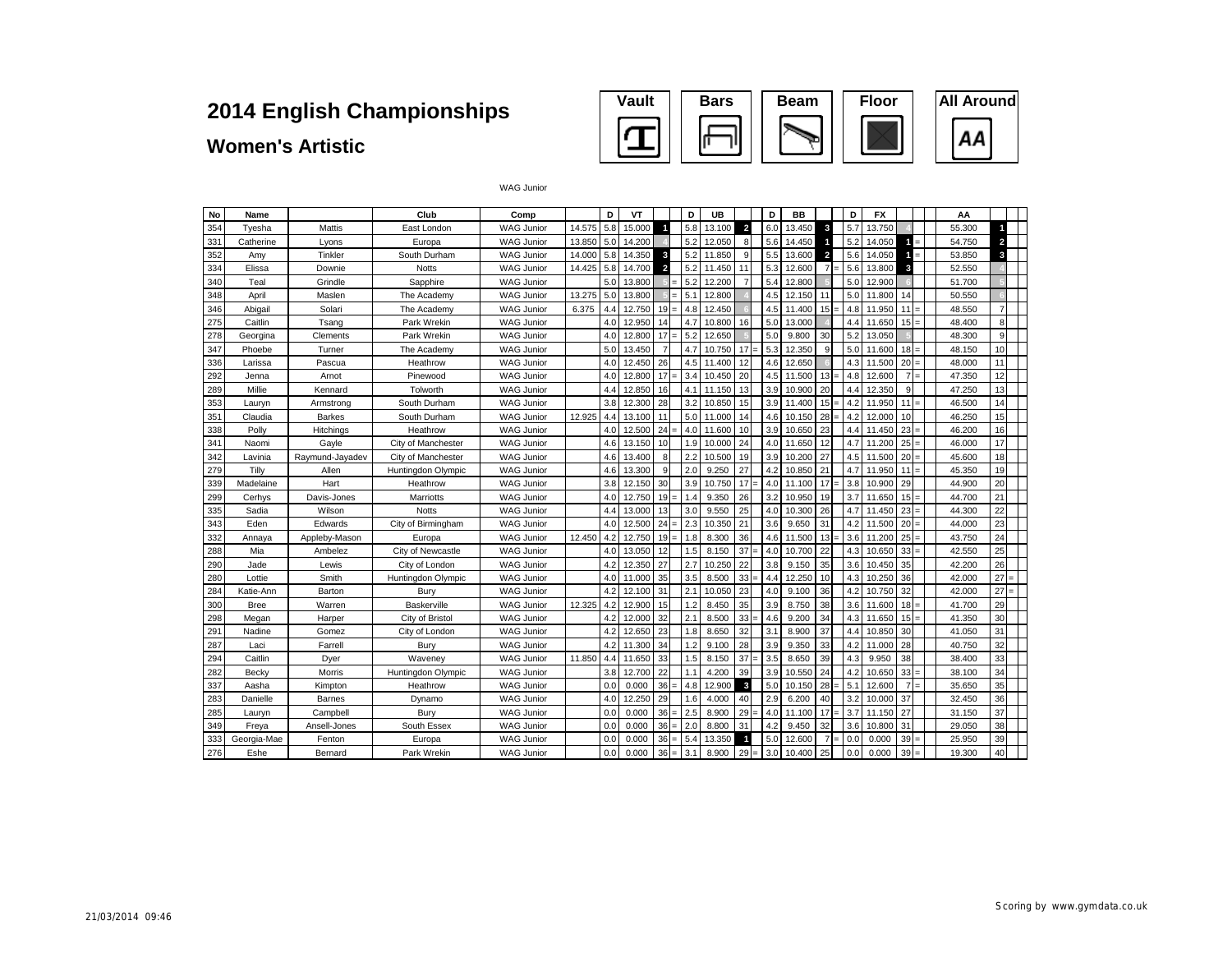#### **Vault Bars Beam Floor All Around** Ω AA ш

#### **Women's Artistic**

| No  | Name        |                 | Club               | Comp              |        | D   | VT     |                                | D   | UB     |                         | D   | BB     |                | D   | FX     |                | AA     |                |  |
|-----|-------------|-----------------|--------------------|-------------------|--------|-----|--------|--------------------------------|-----|--------|-------------------------|-----|--------|----------------|-----|--------|----------------|--------|----------------|--|
| 354 | Tvesha      | Mattis          | East London        | <b>WAG Junior</b> | 14.575 | 5.8 | 15.000 | $\blacksquare$                 | 5.8 | 13.100 | $\overline{\mathbf{c}}$ | 6.0 | 13.450 | 3              | 5.7 | 13.750 |                | 55.300 | г              |  |
| 331 | Catherine   | Lyons           | Europa             | <b>WAG Junior</b> | 13.850 | 5.0 | 14.200 |                                | 5.2 | 12.050 | 8                       | 5.6 | 14.450 |                | 5.2 | 14.050 | 4              | 54.750 | $\overline{2}$ |  |
| 352 | Amv         | Tinkler         | South Durham       | <b>WAG Junior</b> | 14.000 | 5.8 | 14.350 | 3                              | 5.2 | 11.850 | 9                       | 5.5 | 13.600 | $\overline{2}$ | 5.6 | 14.050 |                | 53.850 | 3              |  |
| 334 | Elissa      | Downie          | <b>Notts</b>       | <b>WAG Junior</b> | 14.425 | 5.8 | 14.700 | $\overline{2}$                 | 5.2 | 11.450 | 11                      | 5.3 | 12.600 | $\overline{7}$ | 5.6 | 13,800 | 3              | 52.550 |                |  |
| 340 | Teal        | Grindle         | Sapphire           | <b>WAG Junior</b> |        | 5.0 | 13.800 | ۰                              | 5.2 | 12.200 | $\overline{7}$          | 5.4 | 12.800 |                | 5.0 | 12.900 |                | 51.700 |                |  |
| 348 | April       | Maslen          | The Academy        | <b>WAG Junior</b> | 13.275 | 5.0 | 13,800 |                                | 5.1 | 12,800 |                         | 4.5 | 12.150 | 11             | 5.0 | 11,800 | 14             | 50.550 |                |  |
| 346 | Abigail     | Solari          | The Academy        | <b>WAG Junior</b> | 6.375  | 4.4 | 12.750 | 19<br>$=$                      | 4.8 | 12.450 |                         | 4.5 | 11.400 | 15             | 4.8 | 11.950 | 11             | 48.550 | $\overline{7}$ |  |
| 275 | Caitlin     | Tsang           | Park Wrekin        | <b>WAG Junior</b> |        | 4.0 | 12.950 | 14                             | 4.7 | 10.800 | 16                      | 5.0 | 13.000 |                | 4.4 | 11.650 | $15 =$         | 48.400 | 8              |  |
| 278 | Georgina    | Clements        | Park Wrekin        | <b>WAG Junior</b> |        | 4.0 | 12,800 | 17<br>$\equiv$                 | 5.2 | 12.650 |                         | 5.0 | 9.800  | 30             | 5.2 | 13.050 |                | 48.300 | 9              |  |
| 347 | Phoebe      | Turner          | The Academy        | <b>WAG Junior</b> |        | 5.0 | 13.450 | 7                              | 4.7 | 10.750 | 17                      | 5.3 | 12.350 | 9              | 5.0 | 11.600 | $18 =$         | 48.150 | 10             |  |
| 336 | Larissa     | Pascua          | Heathrow           | <b>WAG Junior</b> |        | 4.0 | 12.450 | 26                             | 4.5 | 11.400 | 12                      | 4.6 | 12.650 |                | 4.3 | 11.500 | 20             | 48.000 | 11             |  |
| 292 | Jenna       | Arnot           | Pinewood           | <b>WAG Junior</b> |        | 4.0 | 12.800 | 17<br>$\overline{\phantom{0}}$ | 3.4 | 10.450 | 20                      | 4.5 | 11.500 | 13             | 4.8 | 12.600 | $\overline{7}$ | 47.350 | 12             |  |
| 289 | Millie      | Kennard         | Tolworth           | <b>WAG Junior</b> |        | 4.4 | 12.850 | 16                             | 4.1 | 11.150 | 13                      | 3.9 | 10.900 | 20             | 4.4 | 12.350 | 9              | 47.250 | 13             |  |
| 353 | Lauryn      | Armstrong       | South Durham       | <b>WAG Junior</b> |        | 3.8 | 12.300 | 28                             | 3.2 | 10.850 | 15                      | 3.9 | 11.400 | 15             | 4.2 | 11.950 | 11             | 46.500 | 14             |  |
| 351 | Claudia     | Barkes          | South Durham       | <b>WAG Junior</b> | 12.925 | 4.4 | 13.100 | 11                             | 5.0 | 11.000 | 14                      | 4.6 | 10.150 | 28             | 4.2 | 12,000 | 10             | 46.250 | 15             |  |
| 338 | Polly       | Hitchings       | Heathrow           | <b>WAG Junior</b> |        | 4.0 | 12.500 | 24<br>$\equiv$                 | 4.0 | 11.600 | 10                      | 3.9 | 10.650 | 23             | 4.4 | 11.450 | 23             | 46.200 | 16             |  |
| 341 | Naomi       | Gavle           | City of Manchester | <b>WAG Junior</b> |        | 4.6 | 13.150 | 10                             | 1.9 | 10.000 | 24                      | 4.0 | 11.650 | 12             | 4.7 | 11.200 | $25 =$         | 46.000 | 17             |  |
| 342 | Lavinia     | Raymund-Jayadev | City of Manchester | <b>WAG Junior</b> |        | 4.6 | 13.400 | 8                              | 2.2 | 10.500 | 19                      | 3.9 | 10.200 | 27             | 4.5 | 11.500 | $20 =$         | 45.600 | 18             |  |
| 279 | Tilly       | Allen           | Huntingdon Olympic | <b>WAG Junior</b> |        | 4.6 | 13.300 | <sub>9</sub>                   | 2.0 | 9.250  | 27                      | 4.2 | 10.850 | 21             | 4.7 | 11.950 | 11             | 45.350 | 19             |  |
| 339 | Madelaine   | Hart            | Heathrow           | <b>WAG Junior</b> |        | 3.8 | 12.150 | 30                             | 3.9 | 10.750 | 17                      | 4.0 | 11.100 | 17             | 3.8 | 10,900 | 29             | 44.900 | 20             |  |
| 299 | Cerhys      | Davis-Jones     | Marriotts          | <b>WAG Junior</b> |        | 4.0 | 12.750 | 19<br>$=$                      | 1.4 | 9.350  | 26                      | 3.2 | 10.950 | 19             | 3.7 | 11.650 | $15 =$         | 44.700 | 21             |  |
| 335 | Sadia       | Wilson          | <b>Notts</b>       | <b>WAG Junior</b> |        | 4.4 | 13,000 | 13                             | 3.0 | 9.550  | 25                      | 4.0 | 10.300 | 26             | 4.7 | 11.450 | $23 =$         | 44.300 | 22             |  |
| 343 | Eden        | Edwards         | City of Birmingham | <b>WAG Junior</b> |        | 4.0 | 12.500 | 24<br>Ξ                        | 2.3 | 10.350 | 21                      | 3.6 | 9.650  | 31             | 4.2 | 11.500 | 20             | 44.000 | 23             |  |
| 332 | Annaya      | Appleby-Mason   | Europa             | <b>WAG Junior</b> | 12.450 | 4.2 | 12.750 | 19<br>$=$                      | 1.8 | 8.300  | 36                      | 4.6 | 11.500 | 13             | 3.6 | 11.200 | $25 =$         | 43.750 | 24             |  |
| 288 | Mia         | Ambelez         | City of Newcastle  | <b>WAG Junior</b> |        | 4.0 | 13.050 | 12                             | 1.5 | 8.150  | 37                      | 4.0 | 10.700 | 22             | 4.3 | 10.650 | 33<br>$=$      | 42.550 | 25             |  |
| 290 | Jade        | Lewis           | City of London     | <b>WAG Junior</b> |        | 4.2 | 12.350 | 27                             | 2.7 | 10.250 | 22                      | 3.8 | 9.150  | 35             | 3.6 | 10.450 | 35             | 42.200 | 26             |  |
| 280 | Lottie      | Smith           | Huntingdon Olympic | <b>WAG Junior</b> |        | 4.0 | 11.000 | 35                             | 3.5 | 8.500  | 33                      | 4.4 | 12.250 | 10             | 4.3 | 10.250 | 36             | 42.000 | 27             |  |
| 284 | Katie-Ann   | Barton          | Burv               | <b>WAG Junior</b> |        | 4.2 | 12.100 | 31                             | 2.1 | 10.050 | 23                      | 4.0 | 9.100  | 36             | 4.2 | 10.750 | 32             | 42.000 | 27             |  |
| 300 | <b>Bree</b> | Warren          | Baskerville        | <b>WAG Junior</b> | 12.325 | 4.2 | 12,900 | 15                             | 1.2 | 8.450  | 35                      | 3.9 | 8.750  | 38             | 3.6 | 11.600 | 18             | 41.700 | 29             |  |
| 298 | Megan       | Harper          | City of Bristol    | <b>WAG Junior</b> |        | 4.2 | 12,000 | 32                             | 2.1 | 8.500  | 33                      | 4.6 | 9.200  | 34             | 4.3 | 11.650 | 15<br>$=$      | 41.350 | 30             |  |
| 291 | Nadine      | Gomez           | City of London     | <b>WAG Junior</b> |        | 4.2 | 12.650 | 23                             | 1.8 | 8.650  | 32                      | 3.1 | 8.900  | 37             | 4.4 | 10.850 | 30             | 41.050 | 31             |  |
| 287 | Laci        | Farrell         | Burv               | <b>WAG Junior</b> |        | 4.2 | 11.300 | 34                             | 1.2 | 9.100  | 28                      | 3.9 | 9.350  | 33             | 4.2 | 11.000 | 28             | 40.750 | 32             |  |
| 294 | Caitlin     | Dyer            | Waveney            | <b>WAG Junior</b> | 11.850 | 4.4 | 11.650 | 33                             | 1.5 | 8.150  | 37                      | 3.5 | 8.650  | 39             | 4.3 | 9.950  | 38             | 38.400 | 33             |  |
| 282 | Becky       | Morris          | Huntingdon Olympic | <b>WAG Junior</b> |        | 3.8 | 12.700 | 22                             | 1.1 | 4.200  | 39                      | 3.9 | 10.550 | 24             | 4.2 | 10.650 | 33<br>$=$      | 38.100 | 34             |  |
| 337 | Aasha       | Kimpton         | Heathrow           | <b>WAG Junior</b> |        | 0.0 | 0.000  | 36<br>$\equiv$                 | 4.8 | 12.900 | 3                       | 5.0 | 10.150 | 28             | 5.1 | 12,600 | 7              | 35.650 | 35             |  |
| 283 | Danielle    | Barnes          | Dynamo             | <b>WAG Junior</b> |        | 4.0 | 12.250 | 29                             | 1.6 | 4.000  | 40                      | 2.9 | 6.200  | 40             | 3.2 | 10.000 | 37             | 32.450 | 36             |  |
| 285 | Laurvn      | Campbell        | Burv               | <b>WAG Junior</b> |        | 0.0 | 0.000  | 36<br>$=$                      | 2.5 | 8.900  | 29                      | 4.0 | 11.100 | 17             | 3.7 | 11.150 | 27             | 31.150 | 37             |  |
| 349 | Freva       | Ansell-Jones    | South Essex        | <b>WAG Junior</b> |        | 0.0 | 0.000  | 36<br>$=$                      | 2.0 | 8.800  | 31                      | 4.2 | 9.450  | 32             | 3.6 | 10,800 | 31             | 29.050 | 38             |  |
| 333 | Georgia-Mae | Fenton          | Europa             | <b>WAG Junior</b> |        | 0.0 | 0.000  | 36<br>$=$                      | 5.4 | 13.350 | -1                      | 5.0 | 12.600 | $\overline{7}$ | 0.0 | 0.000  | 39             | 25.950 | 39             |  |
| 276 | Eshe        | Bernard         | Park Wrekin        | <b>WAG Junior</b> |        | 0.0 | 0.000  | 36<br>$=$                      | 3.1 | 8.900  | 29                      | 3.0 | 10.400 | 25             | 0.0 | 0.000  | 39             | 19.300 | 40             |  |

WAG Junior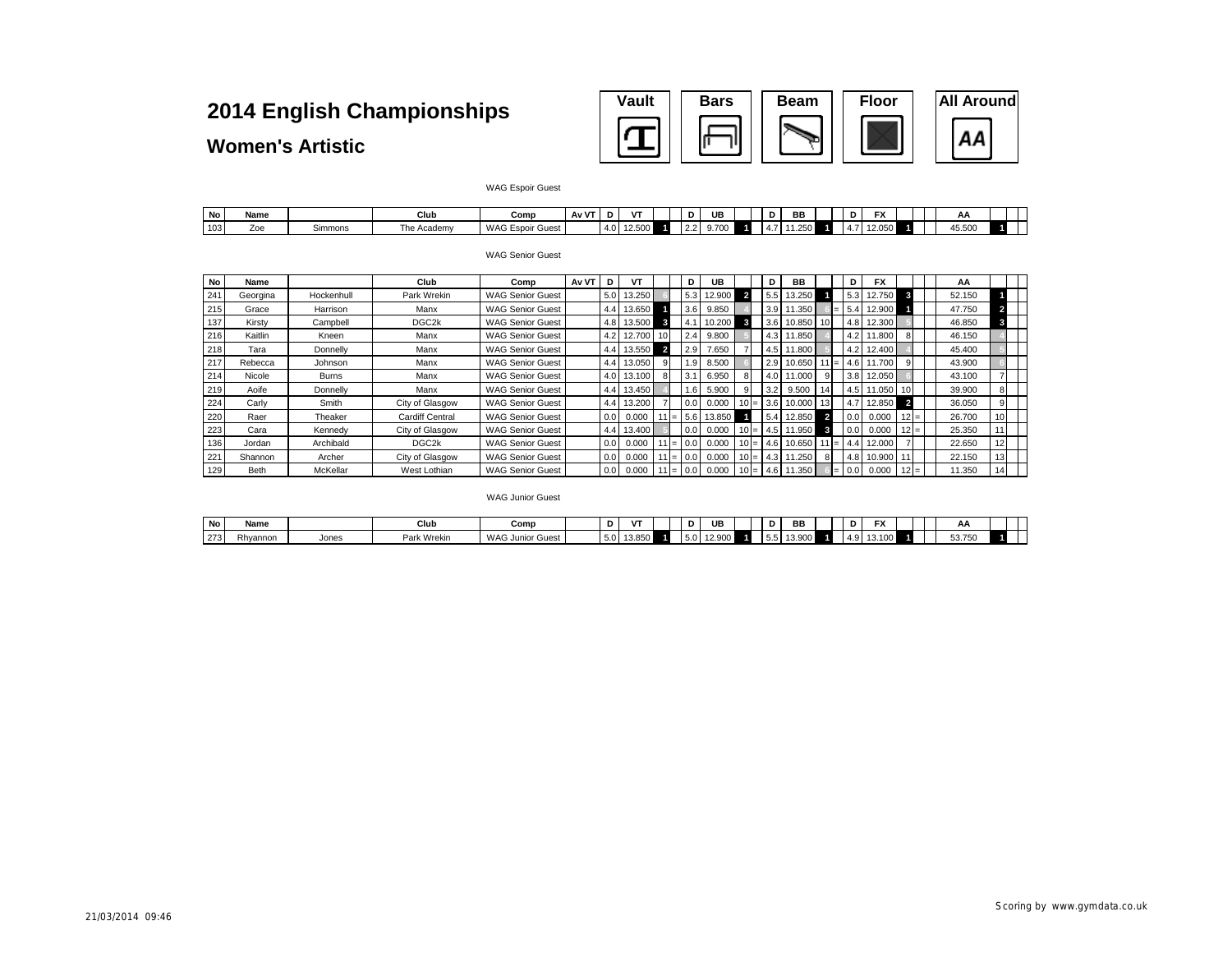| <b>Vault</b> | <b>Bars</b> | <b>Beam</b> | <b>Floor</b> | <b>All Around</b> |
|--------------|-------------|-------------|--------------|-------------------|
|              |             |             |              |                   |

#### **Women's Artistic**

#### WAG Espoir Guest

| No  | Name |         | Club           | Comp                  | $\mathbf{u} \mathbf{v}$<br>ΜV |      |  | D             | UE    | ш   | BB      |  |           | $-1$<br>' ^              |  | Αł                 |  |
|-----|------|---------|----------------|-----------------------|-------------------------------|------|--|---------------|-------|-----|---------|--|-----------|--------------------------|--|--------------------|--|
| 103 | ∠oe  | Simmons | The<br>Academy | WAG Espoir C<br>Guest |                               | 14.0 |  | $\sim$<br>Z.Z | 9.700 | 4.1 | ' '∖כ∠… |  | . .<br>−. | 0 <sup>0</sup><br>$\sim$ |  | $1 - 50$<br>45.50U |  |

#### WAG Senior Guest

| No  | Name     |              | Club                   | Comp                    | Av VT | D                | V٦                |                 | D   | UB     |                | D   | BB                  |                         | D                | <b>FX</b> |                         | AA     |    |  |
|-----|----------|--------------|------------------------|-------------------------|-------|------------------|-------------------|-----------------|-----|--------|----------------|-----|---------------------|-------------------------|------------------|-----------|-------------------------|--------|----|--|
| 24' | Georgina | Hockenhull   | Park Wrekin            | <b>WAG Senior Guest</b> |       |                  | 5.0 13.250        |                 | 5.3 | 12.900 | $\overline{2}$ | 5.5 | 13.250              |                         | 5.3              | 12.750    | 3                       | 52.150 |    |  |
| 215 | Grace    | Harrison     | Manx                   | <b>WAG Senior Guest</b> |       |                  | 4.4 13.650        |                 | 3.6 | 9.850  |                | 3.9 | 11.350              | $=$                     | 5.4              | 12.900    |                         | 47.750 |    |  |
| 137 | Kirstv   | Campbell     | DGC <sub>2</sub> k     | <b>WAG Senior Guest</b> |       |                  | 4.8 13.500        | 3               | 4.1 | 10.200 | $\mathbf{3}$   | 3.6 | 10.850              | 10 <sup>1</sup>         | 4.8              | 12.300    |                         | 46.850 |    |  |
| 216 | Kaitlin  | Kneen        | Manx                   | <b>WAG Senior Guest</b> |       |                  | 4.2 12.700        | 10 <sup>1</sup> | 2.4 | 9.800  |                | 4.3 | 11.850              |                         | 4.2 <sub>1</sub> | 11.800    |                         | 46.150 |    |  |
| 218 | Tara     | Donnelly     | Manx                   | <b>WAG Senior Guest</b> |       |                  | 4.4 13.550        | $\overline{2}$  | 2.9 | 7.650  |                | 4.5 | 11.800              |                         | 4.2              | 12.400    |                         | 45.400 |    |  |
| 217 | Rebecca  | Johnson      | Manx                   | <b>WAG Senior Guest</b> |       |                  | 4.4 13.050        | 9               | .9  | 8.500  |                | 2.9 | 10.650              | $11 = 1$                | 4.6              | 1.700     |                         | 43.900 |    |  |
| 214 | Nicole   | <b>Burns</b> | Manx                   | <b>WAG Senior Guest</b> |       |                  | 4.0 13.100        | 8               | 3.1 | 6.950  |                |     | 11.000              | 9                       | 3.8              | 12.050    |                         | 43.100 |    |  |
| 219 | Aoife    | Donnelly     | Manx                   | <b>WAG Senior Guest</b> |       |                  | 4.4 13.450        |                 | 1.6 | 5.900  |                | 3.2 | 9.500               | 14                      | 4.5              | 1.050     | 10                      | 39.900 |    |  |
| 224 | Carly    | Smith        | City of Glasgow        | <b>WAG Senior Guest</b> |       |                  | 4.4 13.200        |                 | 0.0 | 0.000  | $10 =$         | 3.6 | 10.000              | 13                      | 4.7              | 12.850    | $\overline{\mathbf{2}}$ | 36.050 |    |  |
| 220 | Raer     | Theaker      | <b>Cardiff Central</b> | <b>WAG Senior Guest</b> |       | 0.01             | 0.000             | 11 I =          | 5.6 | 13.850 |                | 5.4 | 12.850              | $\overline{\mathbf{2}}$ | 0.0              | 0.000     | $12 =$                  | 26,700 | 10 |  |
| 223 | Cara     | Kennedy      | City of Glasgow        | <b>WAG Senior Guest</b> |       |                  | 4.4 13.400        |                 | 0.0 | 0.000  | $10 =$         | 4.5 | 11.950              |                         | 0.0              | 0.000     | $12 =$                  | 25.350 |    |  |
| 136 | Jordan   | Archibald    | DGC <sub>2k</sub>      | <b>WAG Senior Guest</b> |       | 0.0 <sub>1</sub> | 0.000             | $11 =$          | 0.0 | 0.000  | $10 =$         | 4.6 | 10.650              | 11 I= I                 | 4.4              | 12.000    |                         | 22.650 | 12 |  |
| 221 | Shannon  | Archer       | City of Glasgow        | <b>WAG Senior Guest</b> |       | 0.01             | 0.000             | 11 I $=$        | 0.0 | 0.000  | $10 =$         | 4.3 | 11.250              | 8                       | 4.8              | 10.900    |                         | 22.150 | 13 |  |
| 129 | Beth     | McKellar     | West Lothian           | <b>WAG Senior Guest</b> |       |                  | $0.0 \quad 0.000$ | $11 =$          | 0.0 | 0.000  | $10 =$         | 4.6 | 11.350 <sub>1</sub> | $=$                     | 0.0              | 0.000     | $12 =$                  | 11.350 | 14 |  |

#### WAG Junior Guest

| No                       | Name     |       | Club        | Comp                              |      | $\mathbf{r}$ | D   | UB              | -<br>יי     | <b>BB</b>     |  | ---<br>. . |  | ٣r                            |  |
|--------------------------|----------|-------|-------------|-----------------------------------|------|--------------|-----|-----------------|-------------|---------------|--|------------|--|-------------------------------|--|
| 272<br>$\angle$ ( $\Box$ | Rhyannon | Jones | Park Wrekin | <b>WAG</b><br>Guest<br>. Junior ' | ຸວ.ບ | 19.090       | 5.U | . an:<br>12.JUU | $ -$<br>5.5 | 000<br>19.900 |  |            |  | $\sim$ $\sim$<br><b>JJ.IJ</b> |  |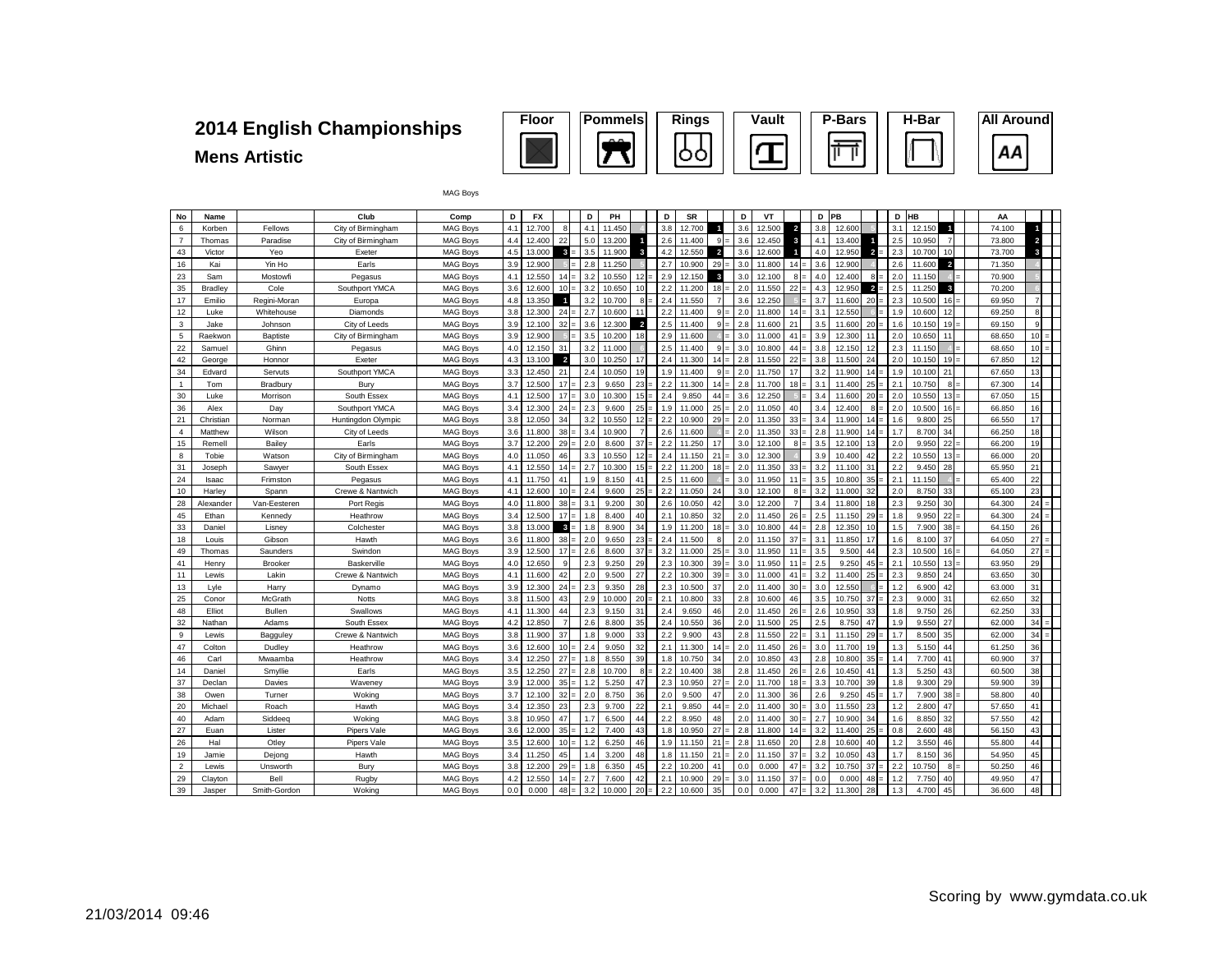## **Mens Artistic**



MAG Boys

| No             | Name            |                     | Club                   | Comp                               | D          | FX               |                 | D          | PH             |                | D          | <b>SR</b>        |                | D          | VT               |                | D          | PB               |                         | D          | HB             |                         | AA               |                             |  |
|----------------|-----------------|---------------------|------------------------|------------------------------------|------------|------------------|-----------------|------------|----------------|----------------|------------|------------------|----------------|------------|------------------|----------------|------------|------------------|-------------------------|------------|----------------|-------------------------|------------------|-----------------------------|--|
| 6              | Korben          | Fellows             | City of Birmingham     | <b>MAG Boys</b>                    | 4.1        | 12.700           | R               | 4.1        | 11.450         |                | 3.8        | 12.700           |                | 3.6        | 12,500           | $\overline{2}$ | 3.8        | 12,600           |                         | 3.1        | 12.150         | $\overline{1}$          | 74.100           |                             |  |
| $\overline{7}$ | Thomas          | Paradise            | City of Birmingham     | <b>MAG Boys</b>                    | 4.4        | 12.400           | 22              | 5.0        | 13.200         | 4              | 2.6        | 11.400           | $9 =$          | 3.6        | 12.450           | ×              | 4.1        | 13.400           |                         | 2.5        | 10.950         | $\overline{7}$          | 73.800           | $\overline{a}$              |  |
| 43             | Victor          | Yeo                 | Exeter                 | <b>MAG Boys</b>                    | 4.5        | 13,000           | 3.5             | 3.5        | 11.900         | 3              | 4.2        | 12.550           | $\overline{2}$ | 3.6        | 12,600           |                | 4.0        | 12.950           | $\overline{\mathbf{2}}$ | 2.3        | 10.700         | 10                      | 73,700           | 3                           |  |
| 16             | Kai             | Yin Ho              | Earls                  | <b>MAG Boys</b>                    | 3.9        | 12.900           |                 | 2.8        | 11.250         |                | 2.7        | 10.900           | $29 =$         | 3.0        | 11.800           | 14             | 3.6        | 12.900           |                         | 2.6        | 11.600         | $\overline{a}$          | 71.350           |                             |  |
| 23             | Sam             | Mostowfi            | Pegasus                | <b>MAG Boys</b>                    | 4.1        | 12,550           | 14              | 3.2        | 10.550         | 12             | 2.9        | 12.150           | 3              | 3.0        | 12.100           | $8 =$          | 4.0        | 12,400           | 8                       | 2.0        | 11.150         |                         | 70,900           |                             |  |
| 35             | Bradley         | Cole                | Southport YMCA         | <b>MAG Boys</b>                    | 3.6        | 12.600           | 10              | 3.2        | 10.650         | 10             | 2.2        | 11.200           | $18 =$         | 2.0        | 11.550           | 22             | 4.3        | 12.950           | $\overline{2}$          | 2.5        | 11.250         | $\overline{\mathbf{3}}$ | 70.200           |                             |  |
| 17             | Emilio          | Regini-Moran        | Europa                 | <b>MAG Boys</b>                    | 4.8        | 13.350           | $\blacksquare$  | 3.2        | 10.700         | 8              | 2.4        | 11.550           | $\overline{7}$ | 3.6        | 12.250           |                | 3.7        | 11,600           | 20                      | 2.3        | 10,500         | 16                      | 69.950           |                             |  |
| 12             | Luke            | Whitehouse          | Diamonds               | <b>MAG Boys</b>                    | 3.8        | 12.300           | 24              | 2.7        | 10.600         | 11             | 2.2        | 11.400           | $9 =$          | 2.0        | 11.800           | 14             | 3.1        | 12.55            |                         | 1.9        | 10.600         | 12                      | 69.250           | $\mathbf{R}$                |  |
| $\overline{3}$ | Jake            | Johnson             | City of Leeds          | <b>MAG Boys</b>                    | 3.9        | 12.100           | 32              | 3.6        | 12,300         | $\overline{2}$ | 2.5        | 11.400           | $9 =$          | 2.8        | 11,600           | 21             | 3.5        | 11,600           | 20                      | 1.6        | 10.150         | 19                      | 69.150           | q                           |  |
| 5              | Raekwon         | Baptiste            | City of Birmingham     | <b>MAG Boys</b>                    | 3.9        | 12.900           |                 | 3.5        | 10.200         | 18             | 2.9        | 11.600           |                | 3.0        | 11,000           | 41             | 3.9        | 12.300           | 11                      | 2.0        | 10.650         | 11                      | 68.650           | 10 <sup>1</sup>             |  |
| 22             | Samuel          | Ghinn               | Pegasus                | <b>MAG Boys</b>                    | 4.0        | 12.150           | 31              | 3.2        | 11.000         |                | 2.5        | 11.400           | $9 =$          | 3.0        | 10.800           | 44             | 3.8        | 12.150           | 12                      | 2.3        | 11.150         |                         | 68.650           | 10 <sup>1</sup><br>$\equiv$ |  |
| 42             | George          | Honnor              | Exeter                 | <b>MAG Boys</b>                    | 4.3        | 13.100           | $\overline{2}$  | 3.0        | 10.250         | 17             | 2.4        | 11.300           | $14 =$         | 2.8        | 11.550           | 22             | 3.8        | 11.500           | 24                      | 2.0        | 10.150         | 19                      | 67.850           | 12                          |  |
| 34             | Edvard          | Servuts             | Southport YMCA         | <b>MAG Boys</b>                    | 3.3        | 12.450           | 21              | 2.4        | 10.050         | 19             | 1.9        | 11,400           | $9 =$          | 2.0        | 11.750           | 17             | 3.2        | 11.900           | 14                      | 1.9        | 10.100         | 21                      | 67.650           | 13                          |  |
| $\mathbf{1}$   | Tom             | Bradbury            | Bury                   | <b>MAG Boys</b>                    | 3.7        | 12.500           | 17              | 2.3        | 9.650          | $23 =$         | 2.2        | 11.300           | $14 =$         | 2.8        | 11.700           | $18 =$         | 3.1        | 11.400           | 25                      | 2.1        | 10.750         | $8 =$                   | 67.300           | 14                          |  |
| 30             | Luke            | Morrison            | South Essex            | <b>MAG Boys</b>                    | 4.1        | 12.500           | 17              | 3.0        | 10.300         | $15 =$         | 2.4        | 9.850            | 44             | 3.6        | 12.250           |                | 3.4        | 11,600           | 20                      | 2.0        | 10.550         | 13                      | 67.050           | 15                          |  |
| 36             | Alex            | Day                 | Southport YMCA         | <b>MAG Boys</b>                    | 3.4        | 12,300           | 24              | 2.3        | 9.600          | $25 =$         | 1.9        | 11.000           | $25 =$         | 2.0        | 11.050           | 40             | 3.4        | 12,400           | 8<br>$=$                | 2.0        | 10.500         | $16 =$                  | 66.850           | 16                          |  |
| 21             | Christian       | Norman              | Huntingdon Olympic     | <b>MAG Boys</b>                    | 3.8        | 12.050           | 34              | 3.2        | 10.550         | 12             | 2.2        | 10.900           | $29 =$         | 2.0        | 11.350           | 33             | 3.4        | 11,900           | 14                      | 1.6        | 9,800          | 25                      | 66.550           | 17                          |  |
| $\overline{4}$ | Matthew         | Wilson              | City of Leeds          | <b>MAG Boys</b>                    | 3.6        | 11,800           | 38              | 3.4        | 10.900         | $\overline{7}$ | 2.6        | 11.600           |                | 2.0        | 11.350           | $33 =$         | 2.8        | 11.900           | 14<br>$=$               | 1.7        | 8.700          | 34                      | 66.250           | 18                          |  |
| 15             | Remell          | Bailey              | Earls                  | <b>MAG Boys</b>                    | 3.7        | 12,200           | 29              | 2.0        | 8.600          | 37             | 2.2        | 11.250           | 17             | 3.0        | 12.100           | $8 =$          | 3.5        | 12,100           | 13                      | 2.0        | 9.950          | 22                      | 66.200           | 19                          |  |
| 8              | Tobie           | Watson              | City of Birmingham     | <b>MAG Boys</b>                    | 4.0        | 11.050           | 46              | 3.3        | 10.550         | 12             | 2.4        | 11.150           | 21             | 3.0        | 12.300           |                | 3.9        | 10.400           | 42                      | 2.2        | 10.550         | 13 <sup>1</sup>         | 66.000           | 20                          |  |
| 31             | Joseph          | Sawver              | South Essex            | <b>MAG Boys</b>                    | 4.1        | 12.550           | 14              | 2.7        | 10,300         | 15             | 2.2        | 11.200           | $18 =$         | 2.0        | 11.350           | 33             | 3.2        | 11.100           | 31                      | 2.2        | 9.450          | 28                      | 65.950           | 21                          |  |
| 24             | Isaac           | Frimston            | Pegasus                | <b>MAG Boys</b>                    | 4.1        | 11.750           | 41              | 1.9        | 8.150          | 41             | 2.5        | 11.600           |                | 3.0        | 11.950           | 11             | 3.5        | 10.80            | 35                      | 2.1        | 11.150         |                         | 65.400           | 22                          |  |
| 10             | Harley          | Spann               | Crewe & Nantwich       | <b>MAG Boys</b>                    | 4.1        | 12.600           | 10              | 2.4        | 9.600          | 25             | 2.2        | 11.050           | 24             | 3.0        | 12.100           | $8 =$          | 3.2        | 11.000           | 32                      | 2.0        | 8.750          | 33                      | 65.100           | 23                          |  |
| 28             | Alexander       | Van-Eesteren        | Port Regis             | <b>MAG Boys</b>                    | 4.0<br>3.4 | 11.800           | 38              | 3.1        | 9.200          | 30             | 2.6        | 10.050           | 42             | 3.0        | 12.200           | $\overline{7}$ | 3.4        | 11.80            | 18                      | 2.3        | 9.250          | 30                      | 64.300           | 24<br>24                    |  |
| 45<br>33       | Ethan           | Kennedy             | Heathrow               | <b>MAG Boys</b>                    | 3.8        | 12,500           | 17<br>3         | 1.8<br>1.8 | 8.400<br>8.900 | 40<br>34       | 2.1<br>1.9 | 10.850<br>11.200 | 32<br>$18 =$   | 2.0<br>3.0 | 11.450<br>10,800 | 26<br>44       | 2.5<br>2.8 | 11.150           | 29<br>10                | 1.8<br>1.5 | 9.950<br>7.900 | 22<br>38                | 64.300           | 26                          |  |
| 18             | Daniel<br>Louis | Lisney<br>Gibson    | Colchester<br>Hawth    | <b>MAG Boys</b><br><b>MAG Boys</b> | 3.6        | 13.000<br>11.800 | 38              | 2.0        | 9.650          | 23             | 2.4        | 11.500           | 8              | 2.0        | 11.150           | 37             | 3.1        | 12.350<br>11.850 | 17                      | 1.6        | 8.100          | 37                      | 64.150<br>64.050 | 27                          |  |
| 49             |                 |                     |                        | MAG Boys                           | 3.9        | 12.500           | 17              | 2.6        | 8.600          | 37             | 3.2        | 11.000           | $25 =$         | 3.0        | 11.950           | 11             | 3.5        | 9.500            | 44                      | 2.3        | 10.500         | 16                      | 64.050           | 27                          |  |
| 41             | Thomas<br>Henry | Saunders<br>Brooker | Swindon<br>Baskerville | <b>MAG Boys</b>                    | 4.0        | 12.650           | 9               | 2.3        | 9.250          | 29             | 2.3        | 10.300           | $39 =$         | 3.0        | 11.950           | 11             | 2.5        | 9.250            | 45                      | 2.1        | 10.550         | 13                      | 63.950           | 29                          |  |
| 11             | Lewis           | Lakin               | Crewe & Nantwich       | <b>MAG Boys</b>                    | 4.1        | 11.600           | 42              | 2.0        | 9.500          | 27             | 2.2        | 10.300           | $39 =$         | 3.0        | 11.000           | 41             | 3.2        | 11,400           | $=$<br>25               | 2.3        | 9.850          | 24                      | 63.650           | 30                          |  |
| 13             | Lyle            | Harry               | Dynamo                 | <b>MAG Boys</b>                    | 3.9        | 12.300           | 24              | 2.3        | 9.350          | 28             | 2.3        | 10.500           | 37             | 2.0        | 11.400           | 30             | 3.0        | 12.550           |                         | 1.2        | 6.900          | 42                      | 63.000           | 31                          |  |
| 25             | Conor           | McGrath             | Notts                  | <b>MAG Boys</b>                    | 3.8        | 11.500           | 43              | 2.9        | 10.000         | 20             | 2.1        | 10.800           | 33             | 2.8        | 10.600           | 46             | 3.5        | 10.750           | 37<br>$=$               | 2.3        | 9.000          | 31                      | 62.650           | 32                          |  |
| 48             | Elliot          | Bullen              | Swallows               | <b>MAG Boys</b>                    | 4.1        | 11.300           | 44              | 2.3        | 9.150          | 31             | 2.4        | 9.650            | 46             | 2.0        | 11.450           | 26             | 2.6        | 10.950           | 33                      | 1.8        | 9.750          | 26                      | 62.250           | 33                          |  |
| 32             | Nathan          | Adams               | South Essex            | <b>MAG Boys</b>                    | 4.2        | 12.850           | $\overline{7}$  | 2.6        | 8.800          | 35             | 2.4        | 10.550           | 36             | 2.0        | 11.500           | 25             | 2.5        | 8.750            | 47                      | 1.9        | 9.550          | 27                      | 62.000           | 34                          |  |
| 9              | Lewis           | Bagguley            | Crewe & Nantwich       | <b>MAG Boys</b>                    | 3.8        | 11.900           | 37              | 1.8        | 9.000          | 33             | 2.2        | 9.900            | 43             | 2.8        | 11.550           | 22             | 3.1        | 11.150           | 29                      | 1.7        | 8.500          | 35                      | 62.000           | 34                          |  |
| 47             | Colton          | Dudley              | Heathrow               | <b>MAG Boys</b>                    | 3.6        | 12.600           | 10 <sup>1</sup> | 2.4        | 9.050          | 32             | 2.1        | 11.300           |                | 2.0        | 11.450           | 26             | 3.0        | 11.70            | 19                      | 1.3        | 5.150          | 44                      | 61.250           | 36                          |  |
| 46             | Carl            | Mwaamba             | Heathrow               | <b>MAG Boys</b>                    | 3.4        | 12.250           | 27              | 1.8        | 8.550          | 39             | 1.8        | 10.750           | 34             | 2.0        | 10.850           | 43             | 2.8        | 10.800           | 35                      | 1.4        | 7.700          | 41                      | 60.900           | 37                          |  |
| 14             | Daniel          | Smyllie             | Earls                  | <b>MAG Boys</b>                    | 3.5        | 12.250           | 27              | 2.8        | 10.700         | 8              | 2.2        | 10,400           | 38             | 2.8        | 11.450           | 26             | 2.6        | 10.45            | 41                      | 1.3        | 5.250          | 43                      | 60.500           | 38                          |  |
| 37             | Declan          | Davies              | Waveney                | <b>MAG Boys</b>                    | 3.9        | 12.000           | 35              | 1.2        | 5.250          | 47             | 2.3        | 10.950           | 27             | 2.0        | 11.700           | 18             | 3.3        | 10.700           | 39                      | 1.8        | 9.300          | 29                      | 59.900           | 39                          |  |
| 38             | Owen            | Turner              | Woking                 | <b>MAG Bovs</b>                    | 3.7        | 12,100           | 32              | 2.0        | 8.750          | 36             | 2.0        | 9.500            | 47             | 2.0        | 11,300           | 36             | 2.6        | 9.25             | 45                      | 1.7        | 7,900          | 38                      | 58.800           | 40                          |  |
| 20             | Michael         | Roach               | Hawth                  | <b>MAG Boys</b>                    | 3.4        | 12,350           | 23              | 2.3        | 9.700          | 22             | 2.1        | 9.850            | 44             | 2.0        | 11.400           | 30             | 3.0        | 11.550           | 23                      | 1.2        | 2.800          | 47                      | 57.650           | 41                          |  |
| 40             | Adam            | Siddeeg             | Wokina                 | <b>MAG Boys</b>                    | 3.8        | 10.950           | 47              | 1.7        | 6.500          | 44             | 2.2        | 8.950            | 48             | 2.0        | 11,400           | 30             | 2.7        | 10.90            | 34                      | 1.6        | 8,850          | 32                      | 57.550           | 42                          |  |
| 27             | Euan            | Lister              | Pipers Vale            | <b>MAG Boys</b>                    | 3.6        | 12,000           | 35              | 1.2        | 7.400          | 43             | 1.8        | 10.950           | 27             | 2.8        | 11,800           | 14             | 3.2        | 11.40            | 25                      | 0.8        | 2,600          | 48                      | 56.150           | 43                          |  |
| 26             | Hal             | Otlev               | Pipers Vale            | <b>MAG Boys</b>                    | 3.5        | 12,600           | 10 <sup>1</sup> | 1.2        | 6.250          | 46             | 1.9        | 11.150           | 21             | 2.8        | 11.650           | 20             | 2.8        | 10.600           | 40                      | 1.2        | 3.550          | 46                      | 55,800           | 44                          |  |
| 19             | Jamie           | Dejong              | Hawth                  | MAG Boys                           | 3.4        | 11.250           | 45              | 1.4        | 3.200          | 48             | 1.8        | 11.150           | 21             | 2.0        | 11.150           | 37             | 3.2        | 10.050           | 43                      | 1.7        | 8.150          | 36                      | 54.950           | 45                          |  |
| $\overline{2}$ | Lewis           | Unsworth            | Bury                   | <b>MAG Boys</b>                    | 3.8        | 12.200           | 29              | 1.8        | 6.350          | 45             | 2.2        | 10.200           | 41             | 0.0        | 0.000            | 47             | 3.2        | 10.750           | 37                      | 2.2        | 10.750         | 8                       | 50.250           | 46                          |  |
| 29             | Clayton         | Bell                | Rugby                  | <b>MAG Boys</b>                    | 4.2        | 12.550           | 14              | 2.7        | 7.600          | 42             | 2.1        | 10.900           | $29 =$         | 3.0        | 11.150           | 37             | 0.0        | 0.000            | 48                      | 1.2        | 7.750          | 40                      | 49.950           | 47                          |  |
| 39             | Jasper          | Smith-Gordon        | Wokina                 | <b>MAG Bovs</b>                    | 0.0        | 0.000            | $48 =$          | 3.2        | 10.000         | $20 =$         | 2.2        | 10.600           | 35             | 0.0        | 0.000            | 47             | 3.2        | 11.300           | 28                      | 1.3        | 4.700          | 45                      | 36,600           | 48                          |  |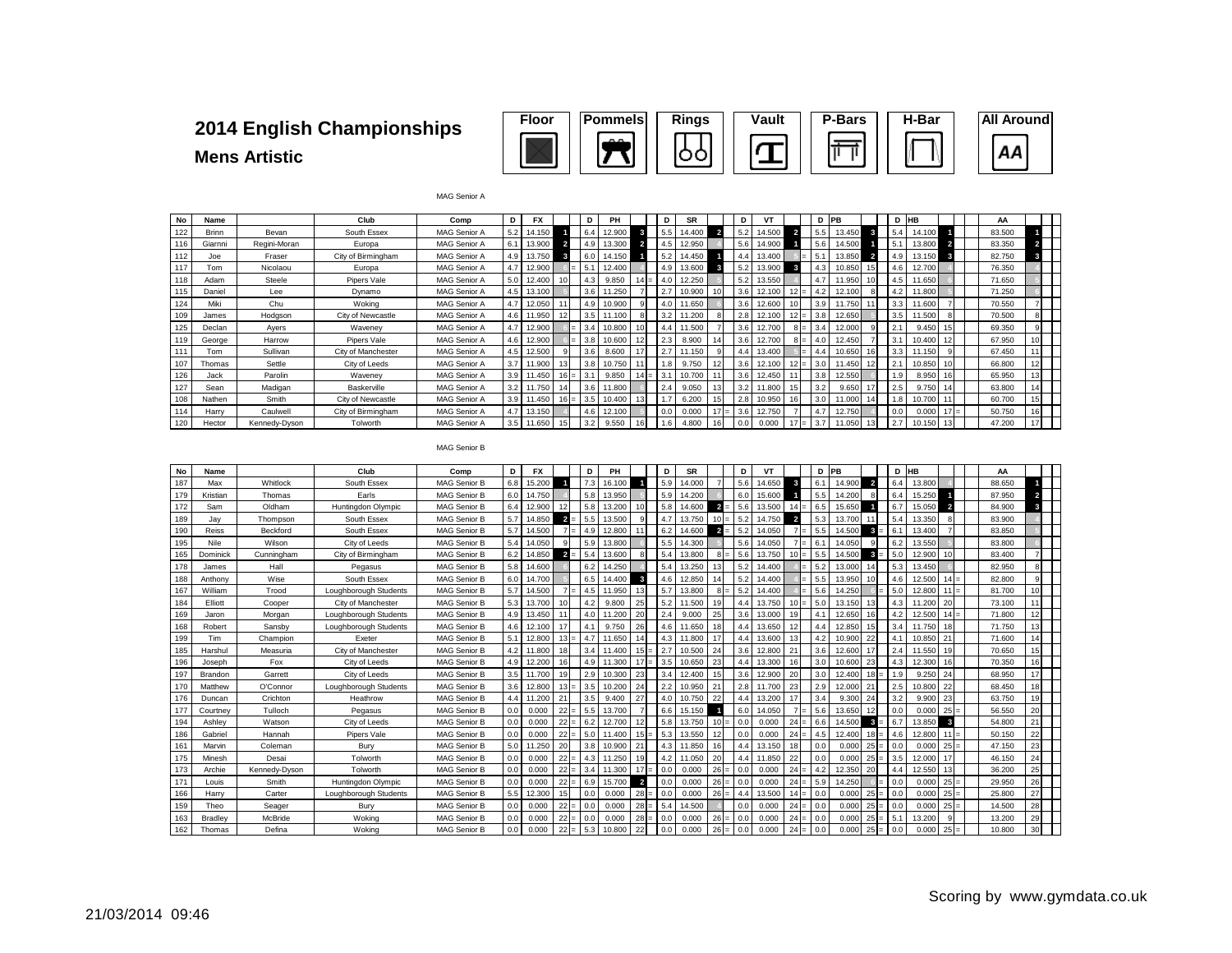#### **Mens Artistic 2014 English Championships**

| <b>Floor</b> | <b>Pommels</b> | <b>Rings</b> | <b>Vault</b> | <b>P-Bars</b> | H-Bar | <b>All Around</b> |
|--------------|----------------|--------------|--------------|---------------|-------|-------------------|
|              | $\mathbf{A}$   |              |              |               |       | ΑА                |

| No  | Name         |               | Club               | Comp                | D                | FX     |        | D   | PH     |    | D    | <b>SR</b> |                 | D   | v٦     |   | D   | PB     |                          | D HB |        |                | AA     |    |
|-----|--------------|---------------|--------------------|---------------------|------------------|--------|--------|-----|--------|----|------|-----------|-----------------|-----|--------|---|-----|--------|--------------------------|------|--------|----------------|--------|----|
| 122 | <b>Brinn</b> | Bevan         | South Essex        | MAG Senior A        | 5.2              | 14.150 |        | 6.4 | 12.900 |    | 5.5  | 14.400    | $\overline{2}$  | 5.2 | 14.500 |   | 5.5 | 13.450 | 3                        | 5.4  | 14.100 |                | 83.500 |    |
| 116 | Giarnni      | Regini-Moran  | Europa             | MAG Senior A        | 6.1              | 13,900 |        | 4.9 | 13.300 |    | 4.5  | 12.950    |                 | 5.6 | 14.900 |   | 5.6 | 14.500 |                          | 5.1  | 13.800 | $\overline{2}$ | 83.350 |    |
| 112 | Joe          | Fraser        | City of Birmingham | MAG Senior A        | 4.9 <sup>°</sup> | 13.750 |        | 6.0 | 14.150 |    | 5.2  | 14.450    |                 |     | 13.400 |   | 5.1 | 13.850 | $\overline{\phantom{a}}$ | 4.9  | 13.150 | 3              | 82.750 |    |
| 117 | Tom          | Nicolaou      | Europa             | MAG Senior A        | 4.7              | 12,900 |        | 5.1 | 12.400 |    | 4.9  | 13.600    | 3               | 5.2 | 13,900 | 3 | 4.3 | 10.850 |                          | 4.6  | 12.700 |                | 76.350 |    |
| 118 | Adam         | Steele        | Pipers Vale        | MAG Senior A        | 5.0              | 12,400 | 10     | 4.3 | 9.850  |    | 4.0  | 12.250    |                 | 5.2 | 13.550 |   | 4.7 | .950   |                          | 4.5  | 11.650 |                | 71.650 |    |
| 115 | Daniel       | Lee           | Dynamo             | MAG Senior A        | 4.5              | 13,100 |        | 3.6 | 1.250  |    | 2.7  | 10.900    | 10              | 3.6 | 12.100 |   |     |        |                          | 4.2  | 11.800 |                | 71.250 |    |
| 124 | Miki         | Chu           | Woking             | MAG Senior A        | 4.7              | 12,050 | 11     | 4.9 | 10.900 |    | 4.0  | 11.650    |                 | 3.6 | 12.600 |   | 3.9 | .750   |                          | 3.3  | 11,600 |                | 70.550 |    |
| 109 | James        | Hodgson       | City of Newcastle  | MAG Senior A        | 4.6              | 11.950 | 12     | 3.5 | 11.100 |    | 3.2  | .200      | 8               | 2.8 | 12.100 |   | 3.8 | 12.650 |                          | 3.5  | 11.500 |                | 70.500 |    |
| 125 | Declan       | Ayers         | Wavenev            | MAG Senior A        | 4.7              | 12,900 |        | 3.4 | 10.800 | 10 | 4.4  | 11.500    |                 | 3.6 | 12.700 |   | 3.4 | 12.000 |                          | 2.1  | 9.450  |                | 69.350 |    |
| 119 | George       | Harrow        | Pipers Vale        | MAG Senior A        | 4.6              | 12,900 |        | 3.8 | 10.600 |    | 2.3  | 8.900     | 14              | 3.6 | 12.700 |   | 4.0 | 12.450 |                          | 3.1  | 10.400 |                | 67.950 | 10 |
| 111 | Tom          | Sullivan      | City of Manchester | <b>MAG Senior A</b> | 4.5              | 12,500 | 9      | 3.6 | 8.600  |    | .2.7 | 11.150    | 9               |     | 13,400 |   | 4.4 | 10.650 |                          | 3.3  | 11.150 |                | 67.450 |    |
| 107 | Thomas       | Settle        | City of Leeds      | MAG Senior A        | 3.7              | 11,900 | 13     | 3.8 | 10.750 |    | 1.8  | 9.750     |                 | 3.6 | 12.100 |   | 3.0 | .450   |                          | 2.1  | 10.850 |                | 66.800 | 12 |
| 126 | Jack         | Parolin       | Wavenev            | MAG Senior A        | 3.9              | 11.450 |        | 3.1 | 9.850  | 14 | 3.1  | 10.700    |                 | 3.6 | 12.450 |   | 3.8 | 12.550 |                          | 1.9  | 8.950  |                | 65.950 | 13 |
| 127 | Sean         | Madigan       | Baskerville        | MAG Senior A        | 3.2              | 11.750 | 14     | 3.6 | 11.800 |    | 2.4  | 9.050     | 13 <sub>1</sub> | 3.2 | 11.800 |   | 3.2 | 9.650  |                          | 2.5  | 9.750  |                | 63.800 |    |
| 108 | Nathen       | Smith         | City of Newcastle  | MAG Senior A        | 3.9              | 11.450 | $16 =$ | 3.5 | 10.400 | 13 |      | 6.200     | 15 <sup>1</sup> |     | 10.950 |   | 3.0 | 11.000 |                          | 1.8  | 10.700 |                | 60.700 | 15 |
| 114 | Harry        | Caulwell      | City of Birmingham | MAG Senior A        | 4.7              | 13.150 |        | 4.6 | 12.100 |    | 0.0  | 0.000     |                 | 3.6 | 12.750 |   | 4.7 | 12.750 |                          | 0.0  | 0.000  |                | 50.750 | 16 |
| 120 | Hector       | Kennedy-Dyson | Tolworth           | <b>MAG Senior A</b> | 3.5              | 11.650 | 15     | 3.2 | 9.550  | 16 | 1.6  | 4.800     | 16              |     | 0.000  |   | 3.7 | 11.050 |                          | 2.7  | 10.150 |                | 47.200 | 17 |

|  | MAG Senior B |  |
|--|--------------|--|
|--|--------------|--|

MAG Senior A

| No  | Name     |               | Club                  | Comp                | D   | <b>FX</b> |                 | D   | PH     |                 | D   | <b>SR</b> |                | D   | <b>VT</b> |                | D   | PB     |                         |          | D HB   |                | AA     |              |  |
|-----|----------|---------------|-----------------------|---------------------|-----|-----------|-----------------|-----|--------|-----------------|-----|-----------|----------------|-----|-----------|----------------|-----|--------|-------------------------|----------|--------|----------------|--------|--------------|--|
| 187 | Max      | Whitlock      | South Essex           | <b>MAG Senior B</b> | 6.8 | 15.200    |                 | 7.3 | 16.100 |                 | 5.9 | 14.000    |                | 5.6 | 14.650    | 3              | 6.1 | 14.900 | $\overline{2}$          | 6.4      | 13,800 |                | 88.650 |              |  |
| 179 | Kristian | Thomas        | Earls                 | <b>MAG Senior B</b> | 6.0 | 14.750    |                 | 5.8 | 13.950 |                 | 5.9 | 14.200    |                | 6.0 | 15,600    |                | 5.5 | 14.200 |                         | 6.4      | 15.250 |                | 87.950 |              |  |
| 172 | Sam      | Oldham        | Huntingdon Olympic    | MAG Senior B        | 6.4 | 12.900    |                 | 5.8 | 13.200 | 10 <sup>1</sup> | 5.8 | 14.600    | $\overline{2}$ | 5.6 | 13.500    | 14<br>$=$      | 6.5 | 15.650 |                         | 6.7      | 15.050 | $\overline{a}$ | 84.900 | $\mathbf{3}$ |  |
| 189 | Jav      | Thompson      | South Essex           | <b>MAG Senior B</b> | 5.7 | 14.850    | $2 =$           | 5.5 | 13.500 |                 | 4.7 | 13.750    |                | 5.2 | 14.750    | $\overline{2}$ | 5.3 | 13,700 |                         | 5.4      | 13.350 |                | 83.900 |              |  |
| 190 | Reiss    | Beckford      | South Essex           | <b>MAG Senior B</b> | 5.7 | 14.500    |                 | 4.9 | 12,800 |                 | 6.2 | 14,600    | $2 =$          | 5.2 | 14.050    |                | 5.5 | 14.500 | -3                      | 6.1      | 13,400 |                | 83.850 |              |  |
| 195 | Nile     | Wilson        | City of Leeds         | <b>MAG Senior B</b> | 5.4 | 14.050    |                 | 5.9 | 13,800 |                 | 5.5 | 14.300    |                | 5.6 | 14.050    |                | 6.1 | 14.050 | $\Omega$                | 6.2      | 13,550 |                | 83.800 |              |  |
| 165 | Dominick | Cunningham    | City of Birmingham    | <b>MAG Senior B</b> | 6.2 | 14.850    | $2 =$           | 5.4 | 13.600 |                 | 5.4 | 13.800    |                | 5.6 | 13.750    |                | 5.5 | 14.500 | $\overline{\mathbf{3}}$ | $= 15.0$ | 12,900 |                | 83,400 |              |  |
| 178 | James    | Hall          | Pegasus               | <b>MAG Senior B</b> | 5.8 | 14,600    |                 | 6.2 | 14.250 |                 | 5.4 | 13.250    |                | 5.2 | 14.400    |                | 5.2 | 13,000 | 14                      | 5.3      | 13.450 |                | 82.950 |              |  |
| 188 | Anthony  | Wise          | South Essex           | <b>MAG Senior B</b> | 6.0 | 14,700    |                 | 6.5 | 14.400 | 3               | 4.6 | 12,850    |                | 5.2 | 14.400    |                | 5.5 | 13.950 |                         | 4.6      | 12.500 |                | 82,800 |              |  |
| 167 | William  | Trood         | Loughborough Students | <b>MAG Senior B</b> | 5.7 | 14.500    | $7 =$           | 4.5 | 11.950 | 13              | 5.7 | 13,800    |                | 5.2 | 14,400    |                | 5.6 | 14.250 |                         | 5.0      | 12,800 | 11             | 81.700 | 10           |  |
| 184 | Elliott  | Cooper        | City of Manchester    | <b>MAG Senior B</b> | 5.3 | 13.700    | 10 <sub>l</sub> | 4.2 | 9,800  | 25              | 5.2 | 11.500    | 19             | 4.4 | 13.750    | 10             | 5.0 | 13.150 | 13                      | 4.3      | 11.200 | 20             | 73.100 | 11           |  |
| 169 | Jaron    | Morgan        | Loughborough Students | <b>MAG Senior B</b> | 4.9 | 13.450    |                 | 4.0 | 11.200 | 20              | 2.4 | 9.000     | 25             | 3.6 | 13,000    | 19             | 4.1 | 12,650 | 16                      | 4.2      | 12,500 | 14             | 71,800 | 12           |  |
| 168 | Robert   | Sansby        | Loughborough Students | <b>MAG Senior B</b> | 4.6 | 12.100    | 17              | 4.1 | 9.750  | 26              | 4.6 | 11.650    | 18             | 4.4 | 13.650    | 12             | 4.4 | 12.850 | 15                      | 3.4      | 11.750 | 18             | 71.750 | 13           |  |
| 199 | Tim      | Champion      | Exeter                | <b>MAG Senior B</b> | 5.1 | 12,800    | $13 =$          | 4.7 | 11.650 | 14              | 4.3 | 11,800    |                | 4.4 | 13,600    | 13             | 4.2 | 10.900 | 22                      | 4.1      | 10.850 | 21             | 71,600 | 14           |  |
| 185 | Harshul  | Measuria      | City of Manchester    | <b>MAG Senior B</b> | 4.2 | 11.800    | 18              | 3.4 | 11,400 | $l =$           | 2.7 | 10.500    | 24             | 3.6 | 12,800    | 21             | 3.6 | 12.600 | 17                      | 2.4      | 11.550 | 19             | 70.650 | 15           |  |
| 196 | Joseph   | Fox           | City of Leeds         | <b>MAG Senior B</b> | 4.9 | 12,200    | 16              | 4.9 | 11.300 | 17              | 3.5 | 10.650    | 23             | 4.4 | 13,300    | 16             | 3.0 | 10,600 | 23                      | 4.3      | 12,300 | 16             | 70.350 | 16           |  |
| 197 | Brandon  | Garrett       | City of Leeds         | <b>MAG Senior B</b> | 3.5 | 11.700    | 19              | 2.9 | 10,300 | 23              | 3.4 | 12,400    | 15             | 3.6 | 12,900    | 20             | 3.0 | 12,400 | 18                      | 1.9      | 9.250  | 24             | 68.950 | 17           |  |
| 170 | Matthew  | O'Connor      | Loughborough Students | <b>MAG Senior B</b> | 3.6 | 12,800    | $13 =$          | 3.5 | 10,200 | 24              | 2.2 | 10.950    | 21             | 2.8 | 11.700    | 23             | 2.9 | 12.000 | 21                      | 2.5      | 10,800 | 22             | 68.450 | 18           |  |
| 176 | Duncan   | Crichton      | Heathrow              | <b>MAG Senior B</b> | 4.4 | 11.200    | 21              | 3.5 | 9.400  | 27              | 4.0 | 10.750    | 22             | 4.4 | 13.200    | 17             | 3.4 | 9.300  | 24                      | 3.2      | 9.900  | 23             | 63.750 | 19           |  |
| 177 | Courtney | Tulloch       | Pegasus               | <b>MAG Senior B</b> | 0.0 | 0.000     | $22 =$          | 5.5 | 13,700 |                 | 6.6 | 15.150    |                | 6.0 | 14.050    |                | 5.6 | 13,650 | 12                      | 0.0      | 0.000  | 25             | 56.550 | 20           |  |
| 194 | Ashley   | Watson        | City of Leeds         | <b>MAG Senior B</b> | 0.0 | 0.000     | 22              | 6.2 | 12.700 | 12              | 5.8 | 13.750    | 10             | 0.0 | 0.000     | 24             | 6.6 | 14.500 | -3                      | 6.7      | 13.850 | 3              | 54.800 | 21           |  |
| 186 | Gabriel  | Hannah        | Pipers Vale           | <b>MAG Senior B</b> | 0.0 | 0.000     | $22 =$          | 5.0 | 11,400 |                 | 5.3 | 13.550    |                | 0.0 | 0.000     | 24             | 4.5 | 12,400 |                         | 4.6      | 12,800 |                | 50.150 | 22           |  |
| 161 | Marvin   | Coleman       | Bury                  | <b>MAG Senior B</b> | 5.0 | 11.250    | 20 <sup>1</sup> | 3.8 | 10,900 | 21              | 4.3 | 11,850    | 16             | 4.4 | 13.150    | 18             | 0.0 | 0.000  | 25                      | 0.0      | 0.000  | 25             | 47.150 | 23           |  |
| 175 | Minesh   | Desai         | Tolworth              | <b>MAG Senior B</b> | 0.0 | 0.000     | $22 =$          | 4.3 | 11.250 | 19              | 4.2 | 11.050    | 20             | 4.4 | 11.850    | 22             | 0.0 | 0.000  | 25<br>l= l              | 3.5      | 12,000 | 17             | 46.150 | 24           |  |
| 173 | Archie   | Kennedy-Dyson | Tolworth              | MAG Senior B        | 0.0 | 0.000     | $22 =$          | 3.4 | 11.300 | 17<br>$l =$     | 0.0 | 0.000     | 26             | 0.0 | 0.000     | 24             | 4.2 | 12.350 | 20                      | 4.4      | 12.550 | 13             | 36,200 | 25           |  |
| 171 | Louis    | Smith         | Huntingdon Olympic    | <b>MAG Senior B</b> | 0.0 | 0.000     | $22 =$          | 6.9 | 15.700 | $\overline{2}$  | 0.0 | 0.000     | 26             | 0.0 | 0.000     | 24             | 5.9 | 14.250 |                         | 0.0      | 0.000  | 25             | 29.950 | 26           |  |
| 166 | Harry    | Carter        | Loughborough Students | <b>MAG Senior B</b> | 5.5 | 12,300    | 15 <sup>1</sup> | 0.0 | 0.000  | $28 =$          | 0.0 | 0.000     | 26             | 4.4 | 13,500    | 14             | 0.0 | 0.000  | 25                      | 0.0      | 0.000  | 25             | 25,800 | 27           |  |
| 159 | Theo     | Seager        | Bury                  | <b>MAG Senior B</b> | 0.0 | 0.000     | $22 =$          | 0.0 | 0.000  | $28 =$          | 5.4 | 14.500    |                | 0.0 | 0.000     | 24             | 0.0 | 0.000  | $25 =$                  | 0.0      | 0.000  | 25             | 14.500 | 28           |  |
| 163 | Bradley  | McBride       | Wokina                | <b>MAG Senior B</b> | 0.0 | 0.000     | $22 =$          | 0.0 | 0.000  | $28 =$          | 0.0 | 0.000     | 26             | 0.0 | 0.000     | 24             | 0.0 | 0.000  | 25<br>l= l              | 5.1      | 13,200 |                | 13,200 | 29           |  |
| 162 | Thomas   | Defina        | Wokina                | <b>MAG Senior B</b> | 0.0 | 0.000     | $22 =$          | 5.3 | 10.800 | 22              | 0.0 | 0.000     | 26             | 0.0 | 0.000     | 24             | 0.0 | 0.000  | $25 =$                  | 0.0      | 0.000  | 25             | 10,800 | 30           |  |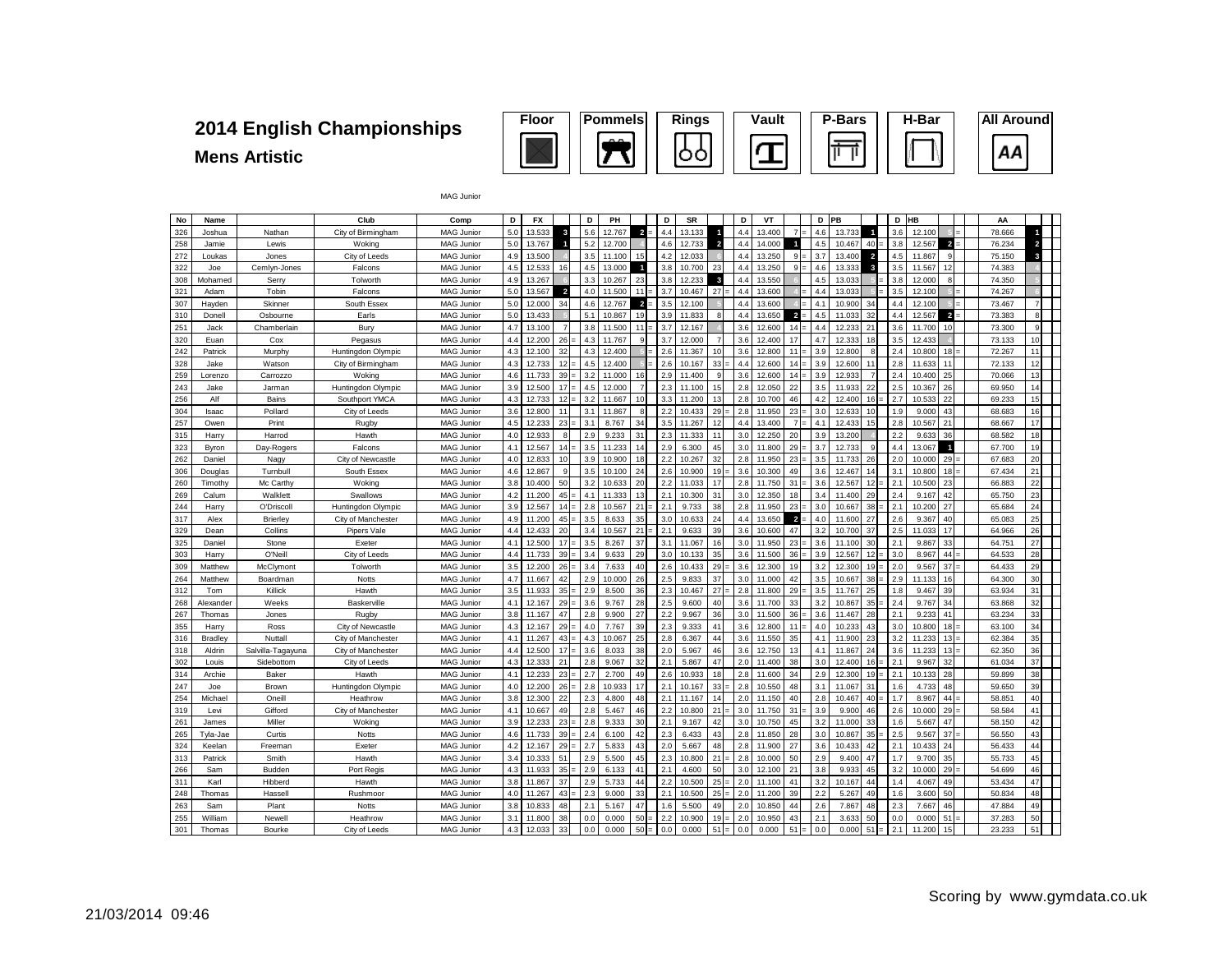# **Mens Artistic**



| No  | Name      |                   | Club               | Comp              | D   | <b>FX</b> |                | D   | PH     |                 | D              | <b>SR</b> |                         | D                 | VT     |                | D   | PB     |                         | D   | HB     |                | AA     |              |  |
|-----|-----------|-------------------|--------------------|-------------------|-----|-----------|----------------|-----|--------|-----------------|----------------|-----------|-------------------------|-------------------|--------|----------------|-----|--------|-------------------------|-----|--------|----------------|--------|--------------|--|
| 326 | Joshua    | Nathan            | City of Birmingham | <b>MAG Junior</b> | 5.0 | 13.533    | 3              | 5.6 | 12.767 | $\overline{2}$  | 4.4            | 13.133    |                         | 4.4               | 13.400 | $\overline{7}$ | 4.6 | 13.733 | $\overline{\mathbf{1}}$ | 3.6 | 12,100 |                | 78.666 |              |  |
| 258 | Jamie     | Lewis             | Woking             | MAG Junior        | 5.0 | 13.767    |                | 5.2 | 12.700 |                 | 4.6            | 12.733    | $\overline{2}$          | 4.4               | 14.000 | $\mathbf{1}$   | 4.5 | 10.467 | 40                      | 3.8 | 12.567 | $\overline{a}$ | 76.234 |              |  |
| 272 | Loukas    | Jones             | City of Leeds      | <b>MAG Junior</b> | 4.9 | 13.500    |                | 3.5 | 11.100 | 15              | 4.2            | 12.033    |                         | 4.4               | 13.250 | $9 =$          | 3.7 | 13.400 | $\overline{2}$          | 4.5 | 11.867 | 9              | 75.150 |              |  |
| 322 | Joe       | Cemlyn-Jones      | Falcons            | <b>MAG Junior</b> | 4.5 | 12.533    | 16             | 4.5 | 13.000 | $\blacksquare$  | 3.8            | 10.700    | 23                      | 4.4               | 13.250 | $9 =$          | 4.6 | 13.333 | 3                       | 3.5 | 11.567 | 12             | 74.383 |              |  |
| 308 | Mohamed   | Serry             | Tolworth           | <b>MAG Junior</b> | 4.9 | 13.267    |                | 3.3 | 10.267 | 23              | 3.8            | 12.233    | -3                      | $\Delta$ $\Delta$ | 13.550 |                | 4.5 | 13.033 |                         | 3.8 | 12,000 | R              | 74.350 |              |  |
| 321 | Adam      | Tobin             | Falcons            | <b>MAG Junior</b> | 5.0 | 13.567    | $\overline{a}$ | 4.0 | 11.500 | 11              | 3.7            | 10.467    | 27                      | 4.4               | 13.600 |                | 4.4 | 13.033 |                         | 3.5 | 12.100 |                | 74.267 |              |  |
| 307 | Hayden    | Skinner           | South Essex        | MAG Junior        | 5.0 | 12,000    | 34             | 4.6 | 12.767 | $\overline{2}$  | 3.5            | 12.100    |                         | 4.4               | 13,600 |                | 4.1 | 10.900 | 34                      | 4.4 | 12.100 |                | 73.467 |              |  |
| 310 | Donell    | Osbourne          | Earls              | <b>MAG Junior</b> | 5.0 | 13.433    |                | 5.1 | 10.867 | 19              | 3.9            | 11.833    |                         | 4.4               | 13.650 | $\overline{2}$ | 4.5 | 11.033 | 32                      | 4.4 | 12.567 | $\overline{2}$ | 73.383 | $\mathbf{R}$ |  |
| 251 | Jack      | Chamberlain       | Bury               | <b>MAG Junior</b> | 4.7 | 13.100    | $\overline{7}$ | 3.8 | 11.500 | 11              | 3.7            | 12.167    |                         | 3.6               | 12.600 | $14 =$         | 4.4 | 12.233 | 21                      | 3.6 | 11.700 | 10             | 73.300 | q            |  |
| 320 | Euan      | Cox               | Pegasus            | <b>MAG Junior</b> | 4.4 | 12.200    | 26             | 4.3 | 11.767 | 9               | 3.7            | 12.000    |                         | 3.6               | 12,400 | 17             | 4.7 | 12.333 | 18                      | 3.5 | 12.433 |                | 73.133 | 10           |  |
| 242 | Patrick   | Murphy            | Huntingdon Olympic | <b>MAG Junior</b> | 4.3 | 12,100    | 32             | 4.3 | 12,400 |                 | 2.6            | 11.367    |                         | 3.6               | 12,800 | 11             | 3.9 | 12,800 | 8                       | 2.4 | 10,800 | 18             | 72.267 | 11           |  |
| 328 | Jake      | Watson            | City of Birmingham | <b>MAG Junior</b> | 4.3 | 12.733    | 12             | 4.5 | 12.400 |                 | 2.6            | 10.167    | 33                      | 4.4               | 12.600 | $14 =$         | 3.9 | 12.600 | 11                      | 2.8 | 11.633 | 11             | 72.133 | 12           |  |
| 259 | Lorenzo   | Carrozzo          | Wokina             | <b>MAG Junior</b> | 4.6 | 11.733    | 39             | 3.2 | 11.000 | 16              | 2.9            | 11.400    |                         | 3.6               | 12,600 | $14 =$         | 3.9 | 12.933 | 7                       | 2.4 | 10.400 | 25             | 70.066 | 13           |  |
| 243 | Jake      | Jarman            | Huntingdon Olympic | <b>MAG Junior</b> | 3.9 | 12.500    | 17             | 4.5 | 12,000 |                 | 2.3            | 11.100    |                         | 2.8               | 12.050 | 22             | 3.5 | 11.933 | 22                      | 2.5 | 10.367 | 26             | 69.950 | 14           |  |
| 256 | Alf       | Bains             | Southport YMCA     | <b>MAG Junior</b> | 4.3 | 12.733    | 12             | 3.2 | 11.667 | 10 <sup>1</sup> | 3.3            | 11.200    |                         | 2.8               | 10.700 | 46             | 4.2 | 12,400 | 16                      | 2.7 | 10.533 | 22             | 69.233 | 15           |  |
| 304 | Isaac     | Pollard           | City of Leeds      | <b>MAG Junior</b> | 3.6 | 12,800    | 11             | 3.1 | 11.867 | 8               | 2.2            | 10.433    | 29                      | 2.8               | 11,950 | 23             | 3.0 | 12.63  | 10                      | 1.9 | 9.000  | 43             | 68.683 | 16           |  |
| 257 | Owen      | Print             | <b>Rugby</b>       | MAG Junior        | 4.5 | 12.233    | 23             | 3.1 | 8.767  | 34              | 3.5            | 11.267    |                         | 4.4               | 13.400 | $\overline{7}$ | 4.1 | 12.433 | 15                      | 2.8 | 10.567 | 21             | 68.667 | 17           |  |
| 315 | Harry     | Harrod            | Hawth              | <b>MAG Junior</b> | 4.0 | 12.933    | 8              | 2.9 | 9.233  | 31              | 2.3            | 11.333    |                         | 3.0               | 12.250 | 20             | 3.9 | 13.200 |                         | 2.2 | 9.633  | 36             | 68.582 | 18           |  |
| 323 | Byron     | Day-Rogers        | Falcons            | <b>MAG Junior</b> | 4.1 | 12.567    | 14             | 3.5 | 11.233 | 14              | 2.9            | 6.300     | 45                      | 3.0               | 11,800 | 29             | 3.7 | 12.733 | $\mathbf{g}$            | 4.4 | 13.067 | $\blacksquare$ | 67.700 | 19           |  |
| 262 | Daniel    | Nagy              | City of Newcastle  | MAG Junior        | 4.0 | 12.833    | 10             | 3.9 | 10.900 | 18              | 2.2            | 10.267    | 32                      | 2.8               | 11.950 | 23             | 3.5 | 11.733 | 26                      | 2.0 | 10.000 | 29             | 67.683 | 20           |  |
| 306 | Douglas   | Turnbull          | South Essex        | <b>MAG Junior</b> | 4.6 | 12.867    | 9              | 3.5 | 10.100 | 24              | 2.6            | 10.900    |                         | 3.6               | 10.300 | 49             | 3.6 | 12.467 | 14                      | 3.1 | 10.800 | 18             | 67.434 | 21           |  |
| 260 | Timothy   | Mc Carthy         | Woking             | <b>MAG Junior</b> | 3.8 | 10.400    | 50             | 3.2 | 10.633 | 20              | 2.2            | 11.033    |                         | 2.8               | 11.750 | 31             | 3.6 | 12.567 | 12                      | 2.1 | 10.500 | 23             | 66.883 | 22           |  |
| 269 | Calum     | Walklett          | Swallows           | MAG Junior        | 4.2 | 11.200    | 45             | 4.1 | 11.333 | 13              | 2.1            | 10.300    | 31                      | 3.0               | 12.350 | 18             | 3.4 | 11.400 | 29                      | 2.4 | 9.167  | 42             | 65.750 | 23           |  |
| 244 | Harry     | O'Driscoll        | Huntingdon Olympic | <b>MAG Junior</b> | 3.9 | 12.567    | 14             | 2.8 | 10.567 | 21              | 2.1            | 9.733     | 38                      | 2.8               | 11.950 | 23             | 3.0 | 10.667 | 38                      | 2.1 | 10.200 | 27             | 65.684 | 24           |  |
| 317 | Alex      | Brierley          | City of Manchester | <b>MAG Junior</b> | 4.9 | 11.200    | 45             | 3.5 | 8.633  | 35              | 3 <sub>c</sub> | 10.633    | $\mathfrak{D}$          | 4.4               | 13.650 | $\overline{a}$ | 4.0 | 11,600 | 27                      | 2.6 | 9.367  | 40             | 65.083 | 25           |  |
| 329 | Dean      | Collins           | Pipers Vale        | <b>MAG Junior</b> | 4.4 | 12.433    | 20             | 3.4 | 10.567 | 21              | 2.1            | 9.633     | 39                      | 3.6               | 10.600 | 47             | 3.2 | 10.700 | 37                      | 2.5 | 11.033 | 17             | 64.966 | 26           |  |
| 325 | Daniel    | Stone             | Exeter             | <b>MAG Junior</b> | 4.1 | 12.500    | 17             | 3.5 | 8.267  | 37              | 3.1            | 11.067    | 16                      | 3.0               | 11.950 | 23             | 3.6 | 11.100 | 30                      | 2.1 | 9.867  | 33             | 64.751 | 27           |  |
| 303 | Harry     | O'Neil            | City of Leeds      | MAG Junior        | 4.4 | 11.733    | 39             | 3.4 | 9.633  | 29              | 3 <sub>c</sub> | 10.133    | 35                      | 3.6               | 11.500 | $36 =$         | 3.9 | 12.567 | 12                      | 3.0 | 8.967  | 44             | 64.533 | 28           |  |
| 309 | Matthew   | McClymont         | Tolworth           | <b>MAG Junior</b> | 3.5 | 12,200    | 26             | 3.4 | 7.633  | 40              | 2.6            | 10.433    | 29                      | 3.6               | 12.300 | 19             | 3.2 | 12,300 | 19                      | 2.0 | 9.567  | 37             | 64.433 | 29           |  |
| 264 | Matthew   | Boardman          | Notts              | <b>MAG Junior</b> | 4.7 | 11.667    | 42             | 2.9 | 10.000 | 26              | 2.5            | 9.833     | 37                      | 3.0               | 11.000 | 42             | 3.5 | 10.667 | 38                      | 2.9 | 11.133 | 16             | 64.300 | 30           |  |
| 312 | Tom       | Killick           | Hawth              | <b>MAG Junior</b> | 3.5 | 11.933    | 35             | 2.9 | 8.500  | 36              | 2.3            | 10.467    | 27                      | 2.8               | 11.800 | $29 =$         | 3.5 | 11.767 | 25                      | 1.8 | 9.467  | 39             | 63.934 | 31           |  |
| 268 | Alexander | Weeks             | Baskerville        | <b>MAG Junior</b> | 4.1 | 12.167    | 29             | 3.6 | 9.767  | 28              | 2.5            | 9.600     | 40                      | 3.6               | 11.700 | 33             | 3.2 | 10.86  | 35                      | 2.4 | 9.767  | 34             | 63.868 | 32           |  |
| 267 | Thomas    | Jones             | Rugby              | <b>MAG Junior</b> | 3.8 | 11.167    | 47             | 2.8 | 9.900  | 27              | 2.2            | 9.967     | 36                      | 3.0               | 11.500 | 36             | 3.6 | 11.467 | 28                      | 2.1 | 9.23   | 41             | 63.234 | 33           |  |
| 355 | Harry     | Ross              | City of Newcastle  | <b>MAG Junior</b> | 4.3 | 12.167    | 29             | 4.0 | 7.767  | 39              | 2.3            | 9.333     | $\overline{4}$          | 3.6               | 12,800 | 11             | 4.0 | 10.233 | 43                      | 3.0 | 10.800 | 18             | 63.100 | 34           |  |
| 316 | Bradley   | Nuttall           | City of Manchester | <b>MAG Junior</b> | 4.1 | 11.267    | 43             | 4.3 | 10.067 | 25              | 2.8            | 6.367     | $\Delta$                | 3.6               | 11.550 | 35             | 4.1 | 11.900 | 23                      | 3.2 | 11.233 | 13             | 62.384 | 35           |  |
| 318 | Aldrin    | Salvilla-Tagayuna | City of Manchester | <b>MAG Junior</b> | 4.4 | 12.500    | 17             | 3.6 | 8.033  | 38              | 2.0            | 5.967     | 46                      | 3.6               | 12.750 | 13             | 4.1 | 11.867 | 24                      | 3.6 | 11.233 | 13             | 62.350 | 36           |  |
| 302 | Louis     | Sidebottom        | City of Leeds      | <b>MAG Junior</b> | 4.3 | 12.333    | 21             | 2.8 | 9.067  | 32              | 2.1            | 5.867     | 47                      | 2.0               | 11,400 | 38             | 3.0 | 12,400 | 16                      | 2.1 | 9.967  | 32             | 61.034 | 37           |  |
| 314 | Archie    | Baker             | Hawth              | MAG Junior        | 4.1 | 12.233    | 23             | 2.7 | 2.700  | 49              | 2.6            | 10.933    |                         | 2.8               | 11.600 | 34             | 2.9 | 12,300 | 19                      | 2.1 | 10.133 | 28             | 59.899 | 38           |  |
| 247 | Joe       | Brown             | Huntingdon Olympic | <b>MAG Junior</b> | 4.0 | 12.200    | 26             | 2.8 | 10.933 | 17              | 2.1            | 10.167    | 33                      | 2.8               | 10.550 | 48             | 3.1 | 11.067 | 31                      | 1.6 | 4.733  | 48             | 59.650 | 39           |  |
| 254 | Michael   | Oneill            | Heathrow           | <b>MAG Junior</b> | 3.8 | 12,300    | 22             | 2.3 | 4.800  | 48              | 2.1            | 11.167    |                         | 2.0               | 11.150 | 40             | 2.8 | 10.467 | 40                      |     | 8.967  | 44             | 58.851 | 40           |  |
| 319 | Levi      | Gifford           | City of Manchester | <b>MAG Junior</b> | 4.1 | 10.667    | 49             | 2.8 | 5.467  | 46              | 2.2            | 10.800    |                         | 3.0               | 11.750 | 31             | 3.9 | 9.900  | 46                      | 2.6 | 10.000 | 29             | 58.584 | 41           |  |
| 261 | James     | Miller            | Wokina             | <b>MAG Junior</b> | 3.9 | 12.233    | 23             | 2.8 | 9.333  | 30              | 2.1            | 9.167     | 42                      | 3.0               | 10.750 | 45             | 3.2 | 11.000 | 33                      | 1.6 | 5.667  | 47             | 58.150 | 42           |  |
| 265 | Tyla-Jae  | Curtis            | Notts              | <b>MAG Junior</b> | 4.6 | 11.733    | 39             | 2.4 | 6.100  | 42              | 2.3            | 6.433     | 43                      | 2.8               | 11.850 | 28             | 3.0 | 10.867 | 35                      | 2.5 | 9.567  | 37             | 56.550 | 43           |  |
| 324 | Keelan    | Freeman           | Exeter             | MAG Junior        | 4.2 | 12.167    | 29             | 2.7 | 5.833  | 43              | 2.0            | 5.667     | 48                      | 2.8               | 11.900 | 27             | 3.6 | 10.433 | 42                      | 2.1 | 10.433 | 24             | 56.433 | 44           |  |
| 313 | Patrick   | Smith             | Hawth              | <b>MAG Junior</b> | 3.4 | 10.333    | 51             | 2.9 | 5.500  | 45              | 2.3            | 10.800    | $\overline{\mathbf{z}}$ | 2.8               | 10.000 | 50             | 2.9 | 9.400  | 47                      | 1.7 | 9.700  | 35             | 55.733 | 45           |  |
| 266 | Sam       | Budden            | Port Regis         | <b>MAG Junior</b> | 4.3 | 11.933    | 35             | 2.9 | 6.133  | 41              | 2.1            | 4.600     | 50                      | 3.0               | 12.100 | 21             | 3.8 | 9.933  | 45                      | 3.2 | 10,000 | 29             | 54.699 | 46           |  |
| 311 | Karl      | Hibberd           | Hawth              | MAG Junior        | 3.8 | 11.867    | 37             | 2.9 | 5.733  | 44              | 2.2            | 10.500    | 25                      | 2.0               | 11.100 | 41             | 3.2 | 10.167 | 44                      | 1.4 | 4.067  | 49             | 53.434 | 47           |  |
| 248 | Thomas    | Hassell           | Rushmoor           | <b>MAG Junior</b> | 4.0 | 11.267    | 43             | 2.3 | 9.000  | 33              | 2.1            | 10.500    | 25                      | 2.0               | 11.200 | 39             | 2.2 | 5.267  | 49                      | 1.6 | 3.600  | 50             | 50.834 | 48           |  |
| 263 | Sam       | Plant             | <b>Notts</b>       | <b>MAG Junior</b> | 3.8 | 10.833    | 48             | 2.1 | 5.167  | 47              | 1.6            | 5.500     |                         | 2.0               | 10.850 | 44             | 2.6 | 7.867  | 48                      | 2.3 | 7.667  | 46             | 47.884 | 49           |  |
| 255 | William   | Newell            | Heathrow           | <b>MAG Junior</b> | 3.1 | 11.800    | 38             | 0.0 | 0.000  | 50              | 2.2            | 10.900    |                         | 2.0               | 10.950 | 43             | 2.1 | 3.633  | 50                      | 0.0 | 0.000  | 51             | 37.283 | 50           |  |
| 301 | Thomas    | Bourke            | City of Leeds      | <b>MAG Junior</b> | 4.3 | 12.033    | 33             | 0.0 | 0.000  | 50              | 0.0            | 0.000     | 51                      | 0.0               | 0.000  | 51             | 0.0 | 0.000  | 51                      | 2.1 | 11.200 | 15             | 23.233 | 51           |  |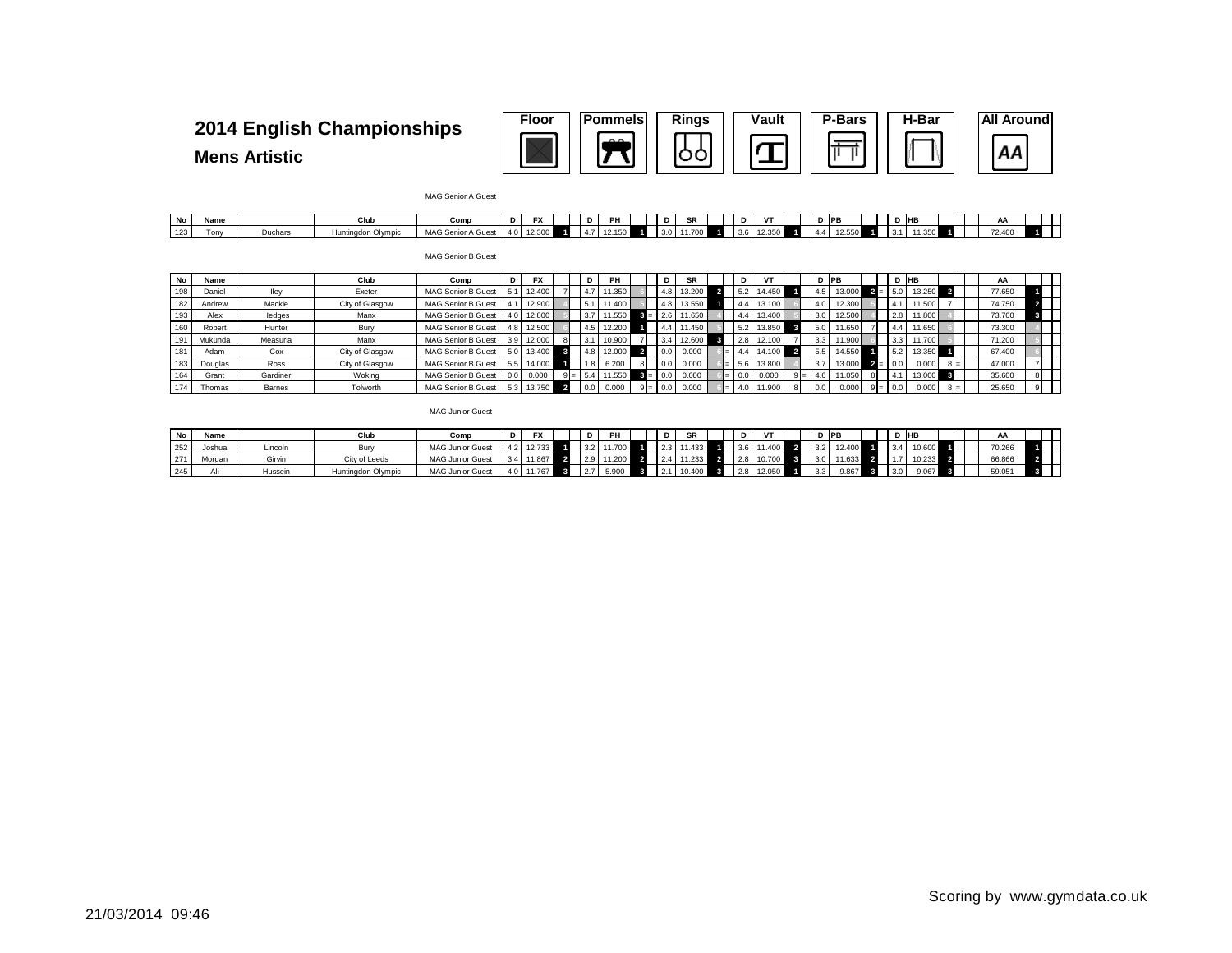

#### **Mens Artistic**

MAG Senior A Guest

| No  | Name |         | Club | Comı                    | υ     | $\overline{\phantom{a}}$ | D | PH     |  | D   | SR | υ | $\mathbf{H}$ |  | D PB   |  | - IHB        |  | AA     |  |
|-----|------|---------|------|-------------------------|-------|--------------------------|---|--------|--|-----|----|---|--------------|--|--------|--|--------------|--|--------|--|
| 123 | Tonv | Duchars |      | MAG Senior A<br>A Gues' | - 141 | باد. ۱۷                  |   | 12.150 |  | 3.0 |    |   | 12.350       |  | 12.JJU |  | 200<br>1.JJU |  | 72.400 |  |

MAG Senior B Guest

| No  | Name    |          | Club            | Comp                      | D |        |     | PH     | D                 | <b>SR</b> |     |        |     | D IPB  |              | D IHB     |       | AA     |  |
|-----|---------|----------|-----------------|---------------------------|---|--------|-----|--------|-------------------|-----------|-----|--------|-----|--------|--------------|-----------|-------|--------|--|
| 198 | Daniel  | lley     | Exeter          | MAG Senior B Guest        |   | 12,400 |     | '1.350 | 4.8               | 13,200    |     | 14.450 |     | 13.000 | 15.0         | 13.250    |       | 77.650 |  |
| 182 | Andrew  | Mackie   | City of Glasgow | <b>MAG Senior B Guest</b> |   | 12,900 |     | 11.400 | 4.8               | 13.550    |     | 13.100 | 4.0 | 12,300 | 4.1          | 11.500    |       | 74.750 |  |
| 193 | Alex    | Hedges   | Manx            | <b>MAG Senior B Guest</b> |   | 12,800 |     | 1.550  | 2.6               | 11.650    |     | 13,400 | 3.0 | 12.500 | 2.8          | 11.800    |       | 73.700 |  |
| 160 | Robert  | Hunter   | Bury            | MAG Senior B Guest        |   | 12,500 |     | 12.200 | 4.4               | 11.450    |     | 13,850 | 5.0 | 11.650 | 4.4          | $1.650$ = |       | 73.300 |  |
| 191 | Mukunda | Measuria | Manx            | <b>MAG Senior B Guest</b> |   | 12,000 |     | 10.900 | 3.4               | 12,600    | 2.8 | 12.100 | 3.3 | 11.900 | 3.3          | 11.700    |       | 71.200 |  |
| 181 | Adam    | Cox      | City of Glasgow | <b>MAG Senior B Guest</b> |   | 13,400 |     | 12,000 | $\overline{0.0}$  | 0.000     |     | 14.100 |     | 14.550 | 5.2          | 13.350    |       | 67.400 |  |
| 183 | Douglas | Ross     | City of Glasgow | MAG Senior B Guest        |   | 14,000 | 1.8 | 6.200  | $\overline{0.0}$  | 0.000     |     | 13,800 | 3.7 | 13,000 |              | 0.000     | $8 =$ | 47,000 |  |
| 164 | Grant   | Gardiner | Woking          | MAG Senior B Guest        |   | 0.000  |     | 1.550  | 0.0               | 0.000     |     | 0.000  | 4.6 | 11.050 | $\mathbf{4}$ | 13,000    |       | 35,600 |  |
| 174 | Thomas  | Barnes   | Tolworth        | <b>MAG Senior B Guest</b> |   | 13.750 | 0.0 | 0.000  | $\overline{0}$ .C | 0.000     |     | 11.900 | 0.0 | 0.000  | $9 = 0.0$    | 0.000     | $8 =$ | 25.650 |  |

MAG Junior Guest

| No  | Name   |         | Clut               | Comr                    | D   | ֿ                     |                 | PH         |  | <b>SR</b> | D   | $\mathbf{r}$    |               | ∂ IPB |                  | D IHB |  | AA     |  |
|-----|--------|---------|--------------------|-------------------------|-----|-----------------------|-----------------|------------|--|-----------|-----|-----------------|---------------|-------|------------------|-------|--|--------|--|
| 252 | Joshua | .incolr | Bun                | <b>MAG Junior Guest</b> | 4.2 | $1.40 \text{ m}^{-1}$ | 3.2             | 1.100      |  |           | 3.6 | 11.400          |               |       |                  |       |  | 70.266 |  |
| 271 | Morgan | Girvin  | City of Leeds      | <b>MAG Junior Guest</b> | 3.4 | 11.867                |                 | 2.9 11.200 |  | .233      | 2.8 | 10720<br>10.700 |               |       |                  |       |  | 66.866 |  |
| 245 |        | Hussein | Huntingdon Olympic | <b>MAG Junior Guest</b> | 4.0 |                       | $\mathcal{L}$ . | 5.900      |  | 10.400    | 2.8 | UCU. 21         | $3.3^{\circ}$ | J.867 | 3.0 <sub>1</sub> | 9.067 |  | 59.051 |  |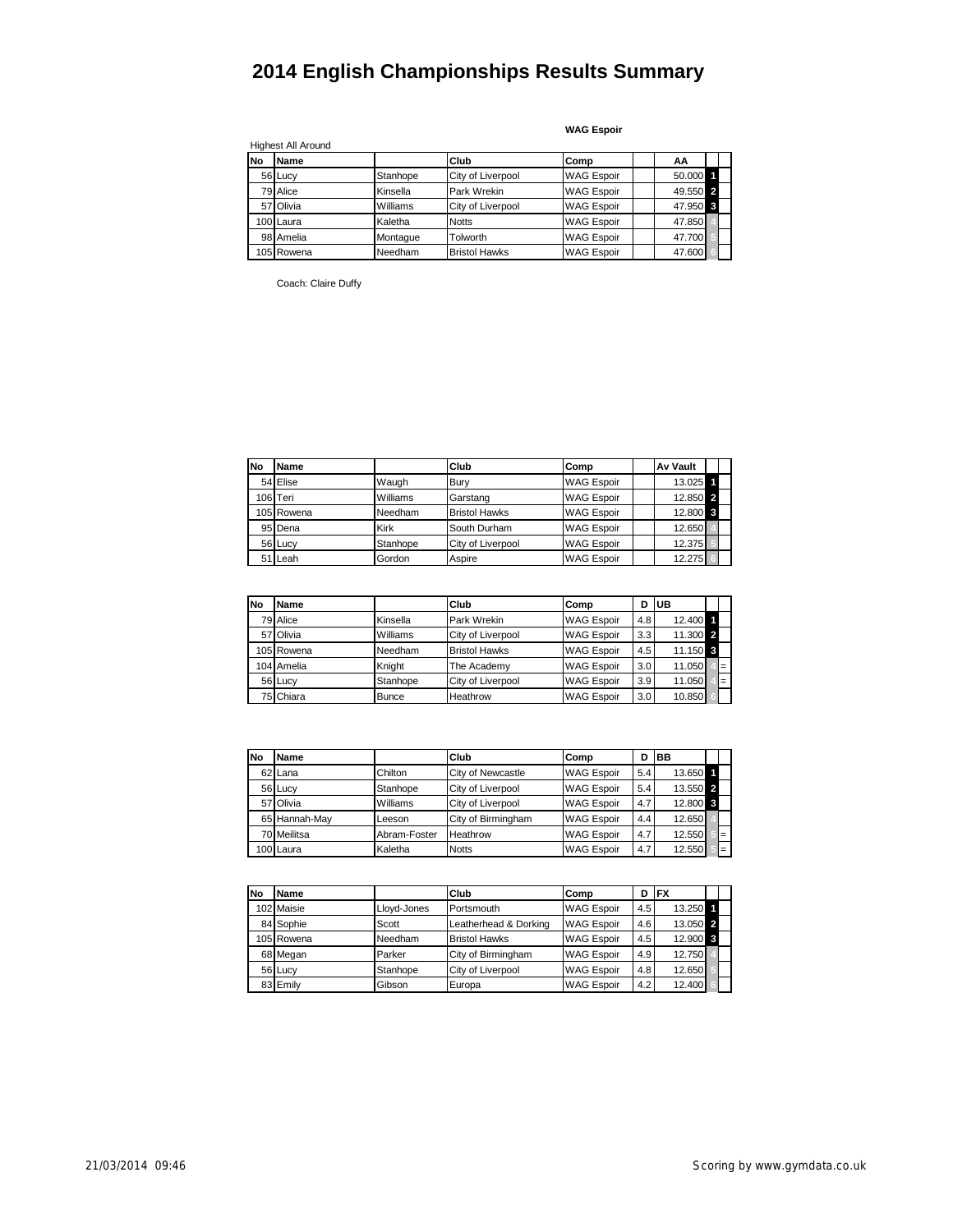|           | <b>Highest All Around</b> |          |                      |                   |          |  |
|-----------|---------------------------|----------|----------------------|-------------------|----------|--|
| <b>No</b> | Name                      |          | Club                 | Comp              | ΑА       |  |
|           | 56 Lucy                   | Stanhope | City of Liverpool    | <b>WAG Espoir</b> | 50.000 1 |  |
|           | 79 Alice                  | Kinsella | Park Wrekin          | <b>WAG Espoir</b> | 49.550 2 |  |
|           | 57 Olivia                 | Williams | City of Liverpool    | <b>WAG Espoir</b> | 47.950 3 |  |
|           | 100 Laura                 | Kaletha  | <b>Notts</b>         | <b>WAG Espoir</b> | 47.850   |  |
|           | 98 Amelia                 | Montague | Tolworth             | <b>WAG Espoir</b> | 47.700   |  |
|           | 105 Rowena                | Needham  | <b>Bristol Hawks</b> | <b>WAG Espoir</b> | 47.600   |  |

**WAG Espoir**

Coach: Claire Duffy

| <b>No</b> | Name       |             | Club                 | Comp              | <b>Av Vault</b> |  |
|-----------|------------|-------------|----------------------|-------------------|-----------------|--|
|           | 54 Elise   | Waugh       | Bury                 | <b>WAG Espoir</b> | 13.025 1        |  |
|           | 106 Teri   | Williams    | Garstang             | <b>WAG Espoir</b> | 12.850 2        |  |
|           | 105 Rowena | Needham     | <b>Bristol Hawks</b> | <b>WAG Espoir</b> | 12.800 \$       |  |
|           | 95 Dena    | <b>Kirk</b> | South Durham         | <b>WAG Espoir</b> | 12.650          |  |
|           | 56 Lucy    | Stanhope    | City of Liverpool    | <b>WAG Espoir</b> | 12.375          |  |
|           | 51 Leah    | Gordon      | Aspire               | <b>WAG Espoir</b> | 12.275          |  |

| No | Name       |              | Club                 | Comp              | D   | UB       |     |
|----|------------|--------------|----------------------|-------------------|-----|----------|-----|
|    | 79 Alice   | Kinsella     | Park Wrekin          | <b>WAG Espoir</b> | 4.8 | 12.400 1 |     |
|    | 57 Olivia  | Williams     | City of Liverpool    | <b>WAG Espoir</b> | 3.3 | 11.300 2 |     |
|    | 105 Rowena | Needham      | <b>Bristol Hawks</b> | <b>WAG Espoir</b> | 4.5 | 11.150 3 |     |
|    | 104 Amelia | Knight       | The Academy          | <b>WAG Espoir</b> | 3.0 | 11.050   | $=$ |
|    | 56 Lucy    | Stanhope     | City of Liverpool    | <b>WAG Espoir</b> | 3.9 | 11.050   | $=$ |
|    | 75 Chiara  | <b>Bunce</b> | Heathrow             | <b>WAG Espoir</b> | 3.0 | 10.850   |     |

| <b>No</b> | <b>Name</b>   |              | Club               | Comp              | D   | <b>BB</b> |     |
|-----------|---------------|--------------|--------------------|-------------------|-----|-----------|-----|
|           | 62 Lana       | Chilton      | City of Newcastle  | <b>WAG Espoir</b> | 5.4 | 13.650    |     |
|           | 56 Lucy       | Stanhope     | City of Liverpool  | <b>WAG Espoir</b> | 5.4 | 13.550 2  |     |
|           | 57 Olivia     | Williams     | City of Liverpool  | <b>WAG Espoir</b> | 4.7 | 12.800 8  |     |
|           | 65 Hannah-May | Leeson       | City of Birmingham | <b>WAG Espoir</b> | 4.4 | 12.650    |     |
|           | 70 Meilitsa   | Abram-Foster | Heathrow           | <b>WAG Espoir</b> | 4.7 | 12.550    | $=$ |
|           | 100 Laura     | Kaletha      | <b>Notts</b>       | <b>WAG Espoir</b> | 4.7 | 12.550    | $=$ |

| <b>No</b> | Name       |             | Club                  | Comp              | D   | <b>IFX</b> |  |
|-----------|------------|-------------|-----------------------|-------------------|-----|------------|--|
|           | 102 Maisie | Lloyd-Jones | Portsmouth            | <b>WAG Espoir</b> | 4.5 | 13.250 1   |  |
|           | 84 Sophie  | Scott       | Leatherhead & Dorking | <b>WAG Espoir</b> | 4.6 | 13.050 2   |  |
|           | 105 Rowena | Needham     | <b>Bristol Hawks</b>  | <b>WAG Espoir</b> | 4.5 | 12.900 3   |  |
|           | 68 Megan   | Parker      | City of Birmingham    | <b>WAG Espoir</b> | 4.9 | 12.750     |  |
|           | 56 Lucy    | Stanhope    | City of Liverpool     | <b>WAG Espoir</b> | 4.8 | 12.650     |  |
|           | 83 Emily   | Gibson      | Europa                | <b>WAG Espoir</b> | 4.2 | 12.400     |  |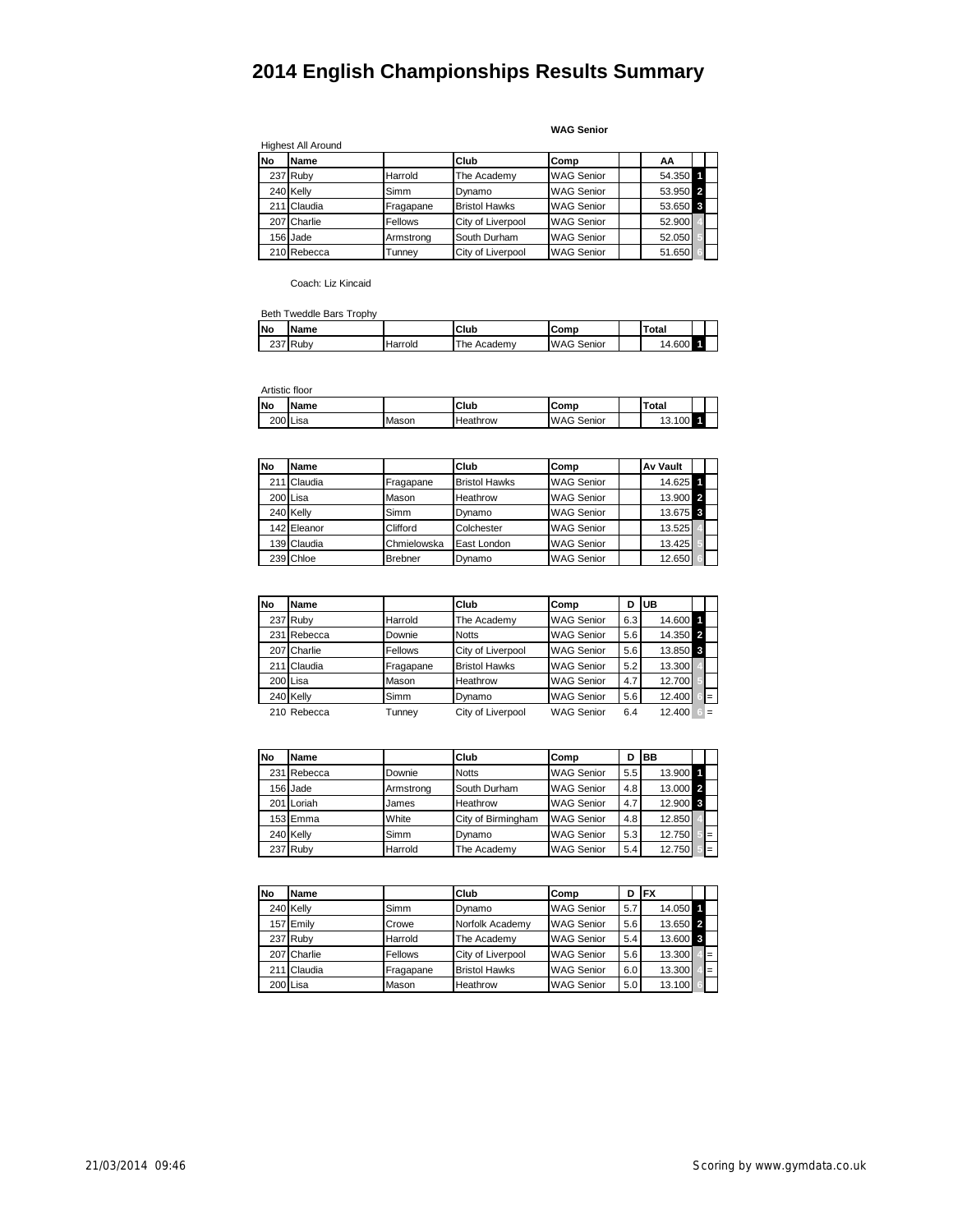**WAG Senior**

|           | <b>Highest All Around</b> |                |                      |                   |          |
|-----------|---------------------------|----------------|----------------------|-------------------|----------|
| <b>No</b> | Name                      |                | Club                 | Comp              | AA       |
|           | 237 Ruby                  | Harrold        | The Academy          | <b>WAG Senior</b> | 54.350 1 |
|           | 240 Kelly                 | Simm           | Dynamo               | <b>WAG Senior</b> | 53.950 2 |
|           | 211 Claudia               | Fragapane      | <b>Bristol Hawks</b> | <b>WAG Senior</b> | 53.650 3 |
|           | 207 Charlie               | <b>Fellows</b> | City of Liverpool    | <b>WAG Senior</b> | 52.900   |
|           | 156 Jade                  | Armstrong      | South Durham         | <b>WAG Senior</b> | 52.050   |
|           | 210 Rebecca               | Tunnev         | City of Liverpool    | <b>WAG Senior</b> | 51.650   |

Coach: Liz Kincaid

#### Beth Tweddle Bars Trophy

| <b>No</b>  | <b>Name</b> |         | Club            | Comp              | <b>Total</b>       |  |
|------------|-------------|---------|-----------------|-------------------|--------------------|--|
| へへっ<br>، ت | Ruby        | Harrold | The,<br>Academy | <b>WAG Senior</b> | 4.600<br>$\Lambda$ |  |

Artistic floor

| <b>No</b> | <b>Name</b> |       | Club<br>Comp    |                   |  | Total  |  |  |
|-----------|-------------|-------|-----------------|-------------------|--|--------|--|--|
|           | 200 Lisa    | Mason | <b>Heathrow</b> | <b>WAG Senior</b> |  | 13.100 |  |  |

| <b>No</b> | <b>Name</b> |             | Club                 | Comp              | <b>Av Vault</b> |  |
|-----------|-------------|-------------|----------------------|-------------------|-----------------|--|
|           | 211 Claudia | Fragapane   | <b>Bristol Hawks</b> | <b>WAG Senior</b> | 14.625 1        |  |
|           | 200 Lisa    | Mason       | Heathrow             | <b>WAG Senior</b> | 13.900 2        |  |
|           | 240 Kelly   | Simm        | Dynamo               | <b>WAG Senior</b> | 13.675 3        |  |
|           | 142 Eleanor | Clifford    | Colchester           | <b>WAG Senior</b> | 13.525          |  |
|           | 139 Claudia | Chmielowska | East London          | <b>WAG Senior</b> | 13.425          |  |
|           | 239 Chloe   | Brebner     | Dynamo               | <b>WAG Senior</b> | 12.650          |  |

| <b>No</b> | Name        |           | Club                 | Comp              | D   | <b>UB</b> |          |
|-----------|-------------|-----------|----------------------|-------------------|-----|-----------|----------|
|           | 237 Ruby    | Harrold   | The Academy          | <b>WAG Senior</b> | 6.3 | 14.600 1  |          |
|           | 231 Rebecca | Downie    | <b>Notts</b>         | <b>WAG Senior</b> | 5.6 | 14.350 2  |          |
|           | 207 Charlie | Fellows   | City of Liverpool    | <b>WAG Senior</b> | 5.6 | 13.850 3  |          |
|           | 211 Claudia | Fragapane | <b>Bristol Hawks</b> | <b>WAG Senior</b> | 5.2 | 13.300    |          |
|           | 200 Lisa    | Mason     | Heathrow             | <b>WAG Senior</b> | 4.7 | 12.700    |          |
|           | 240 Kelly   | Simm      | Dynamo               | <b>WAG Senior</b> | 5.6 | 12,400    | $\equiv$ |
|           | 210 Rebecca | Tunney    | City of Liverpool    | <b>WAG Senior</b> | 6.4 | 12.400    | $=$      |

| <b>No</b> | Name        |           | Club               | Comp              | D   | BB       |     |
|-----------|-------------|-----------|--------------------|-------------------|-----|----------|-----|
|           | 231 Rebecca | Downie    | <b>Notts</b>       | <b>WAG Senior</b> | 5.5 | 13.900   |     |
|           | 156 Jade    | Armstrong | South Durham       | <b>WAG Senior</b> | 4.8 | 13.000 2 |     |
|           | 201 Loriah  | James     | Heathrow           | <b>WAG Senior</b> | 4.7 | 12.900 3 |     |
|           | 153 Emma    | White     | City of Birmingham | <b>WAG Senior</b> | 4.8 | 12.850   |     |
|           | 240 Kelly   | Simm      | Dynamo             | <b>WAG Senior</b> | 5.3 | 12.750   | $=$ |
|           | 237 Ruby    | Harrold   | The Academy        | <b>WAG Senior</b> | 5.4 | 12.750   | $=$ |

| <b>No</b> | Name        |           | Club                 | Comp              | D   | <b>IFX</b> |     |
|-----------|-------------|-----------|----------------------|-------------------|-----|------------|-----|
|           | 240 Kelly   | Simm      | Dynamo               | <b>WAG Senior</b> | 5.7 | 14.050 1   |     |
|           | 157 Emily   | Crowe     | Norfolk Academy      | <b>WAG Senior</b> | 5.6 | 13.650 2   |     |
|           | 237 Ruby    | Harrold   | The Academy          | <b>WAG Senior</b> | 5.4 | 13.600 3   |     |
|           | 207 Charlie | Fellows   | City of Liverpool    | <b>WAG Senior</b> | 5.6 | 13.300     | $=$ |
|           | 211 Claudia | Fragapane | <b>Bristol Hawks</b> | <b>WAG Senior</b> | 6.0 | 13.300     | $=$ |
|           | 200 Lisa    | Mason     | Heathrow             | <b>WAG Senior</b> | 5.0 | 13.100     |     |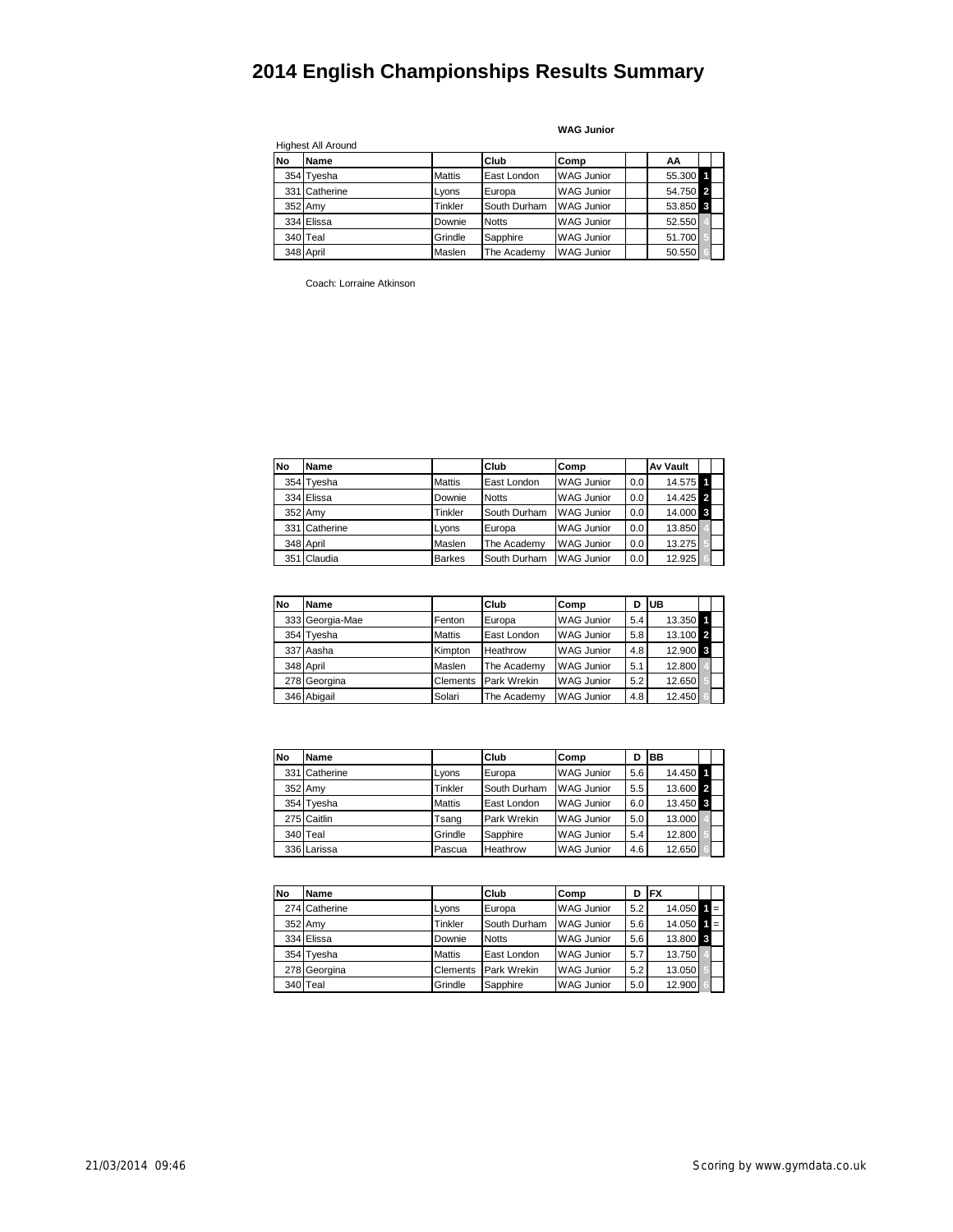|           | Highest All Around |               |              |                   |          |  |
|-----------|--------------------|---------------|--------------|-------------------|----------|--|
| <b>No</b> | Name               |               | Club         | lComp             | AA       |  |
|           | 354 Tyesha         | <b>Mattis</b> | East London  | <b>WAG Junior</b> | 55.300 1 |  |
|           | 331 Catherine      | Lyons         | Europa       | <b>WAG Junior</b> | 54.750 2 |  |
|           | 352 Amy            | Tinkler       | South Durham | <b>WAG Junior</b> | 53.850 3 |  |
|           | 334 Elissa         | Downie        | <b>Notts</b> | <b>WAG Junior</b> | 52.550   |  |
|           | 340 Teal           | Grindle       | Sapphire     | <b>WAG Junior</b> | 51.700   |  |
|           | 348 April          | Maslen        | The Academy  | <b>WAG Junior</b> | 50.550   |  |

**WAG Junior**

Coach: Lorraine Atkinson

| <b>No</b> | Name          |               | Club         | lComp             |     | <b>Av Vault</b> |  |
|-----------|---------------|---------------|--------------|-------------------|-----|-----------------|--|
|           | 354 Tyesha    | <b>Mattis</b> | East London  | <b>WAG Junior</b> | 0.0 | 14.575 1        |  |
|           | 334 Elissa    | Downie        | <b>Notts</b> | <b>WAG Junior</b> | 0.0 | 14.425 2        |  |
|           | 352 Amv       | Tinkler       | South Durham | <b>WAG Junior</b> | 0.0 | 14.000 3        |  |
|           | 331 Catherine | Lyons         | Europa       | <b>WAG Junior</b> | 0.0 | 13.850          |  |
|           | 348 April     | Maslen        | The Academy  | <b>WAG Junior</b> | 0.0 | 13.275          |  |
|           | 351 Claudia   | <b>Barkes</b> | South Durham | <b>WAG Junior</b> | 0.0 | 12.925          |  |

| <b>No</b> | Name            |               | Club        | Comp              | D   | <b>IUB</b> |  |
|-----------|-----------------|---------------|-------------|-------------------|-----|------------|--|
|           | 333 Georgia-Mae | Fenton        | Europa      | <b>WAG Junior</b> | 5.4 | 13.350 1   |  |
|           | 354 Tyesha      | <b>Mattis</b> | East London | <b>WAG Junior</b> | 5.8 | 13.100 2   |  |
|           | 337 Aasha       | Kimpton       | Heathrow    | <b>WAG Junior</b> | 4.8 | 12.900 3   |  |
|           | 348 April       | Maslen        | The Academy | <b>WAG Junior</b> | 5.1 | 12.800     |  |
|           | 278 Georgina    | Clements      | Park Wrekin | <b>WAG Junior</b> | 5.2 | 12.650     |  |
|           | 346 Abigail     | Solari        | The Academy | <b>WAG Junior</b> | 4.8 | 12.450     |  |

| <b>No</b> | Name        |               | Club         | Comp              | D   | <b>BB</b> |  |
|-----------|-------------|---------------|--------------|-------------------|-----|-----------|--|
| 331       | Catherine   | Lyons         | Europa       | <b>WAG Junior</b> | 5.6 | 14.450 1  |  |
|           | 352 Amy     | Tinkler       | South Durham | <b>WAG Junior</b> | 5.5 | 13.600 2  |  |
|           | 354 Tyesha  | <b>Mattis</b> | East London  | <b>WAG Junior</b> | 6.0 | 13.450 3  |  |
|           | 275 Caitlin | Tsang         | Park Wrekin  | <b>WAG Junior</b> | 5.0 | 13.000    |  |
|           | 340 Teal    | Grindle       | Sapphire     | <b>WAG Junior</b> | 5.4 | 12.800    |  |
|           | 336 Larissa | Pascua        | Heathrow     | <b>WAG Junior</b> | 4.6 | 12.650    |  |

| <b>No</b> | Name          |               | Club         | Comp              | D   | <b>FX</b>                 |       |  |
|-----------|---------------|---------------|--------------|-------------------|-----|---------------------------|-------|--|
|           | 274 Catherine | Lyons         | Europa       | <b>WAG Junior</b> | 5.2 | $14.050$ $\blacksquare$ = |       |  |
|           | 352 Amy       | Tinkler       | South Durham | <b>WAG Junior</b> | 5.6 | 14.050                    | $1 =$ |  |
|           | 334 Elissa    | Downie        | <b>Notts</b> | <b>WAG Junior</b> | 5.6 | 13.800 3                  |       |  |
|           | 354 Tyesha    | <b>Mattis</b> | East London  | <b>WAG Junior</b> | 5.7 | 13.750                    |       |  |
|           | 278 Georgina  | Clements      | Park Wrekin  | <b>WAG Junior</b> | 5.2 | 13.050                    |       |  |
|           | 340 Teal      | Grindle       | Sapphire     | <b>WAG Junior</b> | 5.0 | 12.900                    |       |  |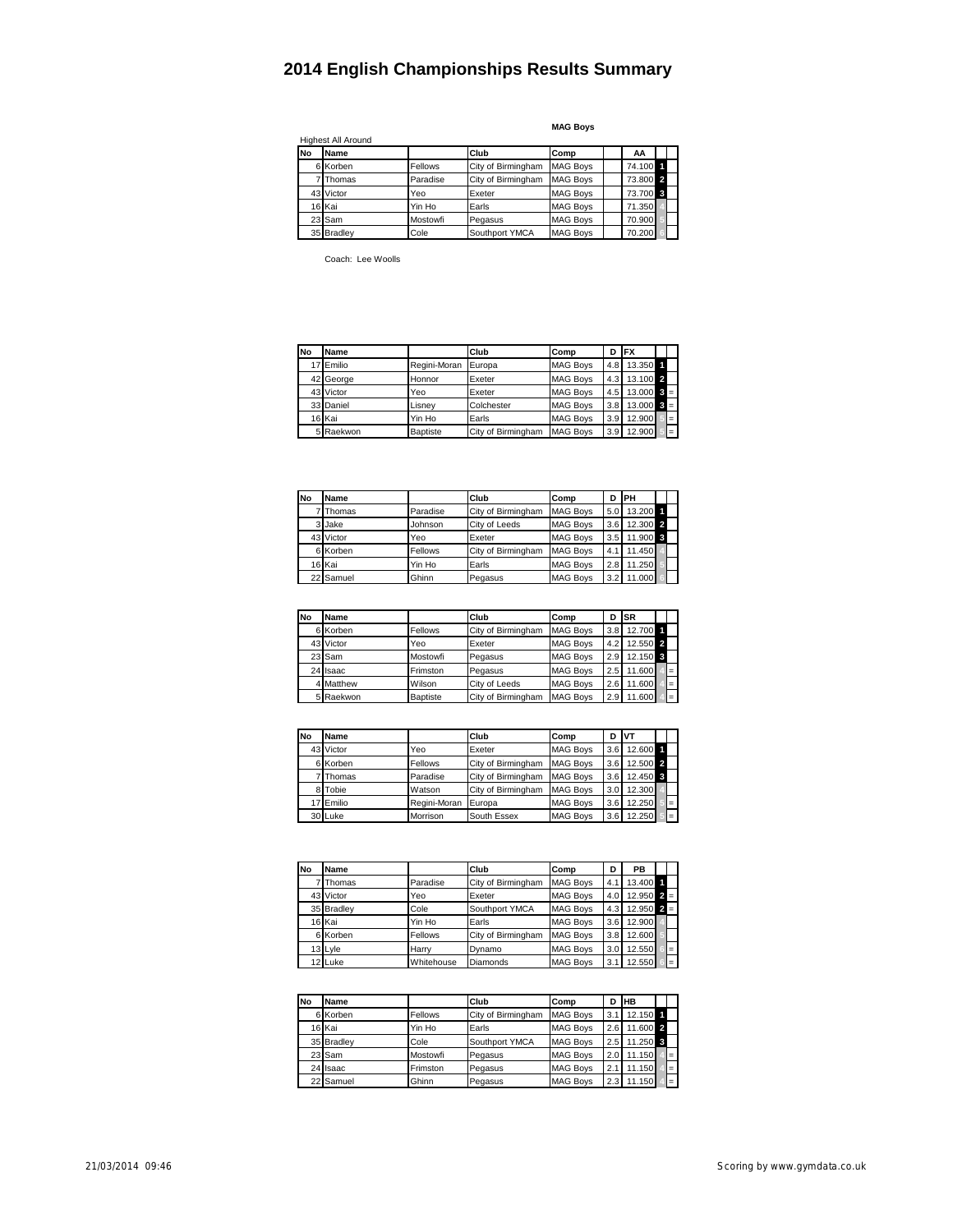|    | Highest All Around |          |                    |                 |          |  |
|----|--------------------|----------|--------------------|-----------------|----------|--|
| No | Name               |          | Club               | Comp            | AA       |  |
|    | 6 Korben           | Fellows  | City of Birmingham | <b>MAG Boys</b> | 74.100 1 |  |
|    | 7 Thomas           | Paradise | City of Birmingham | <b>MAG Boys</b> | 73.800 2 |  |
|    | 43 Victor          | Yeo      | Exeter             | <b>MAG Boys</b> | 73.700 3 |  |
|    | 16 Kai             | Yin Ho   | Earls              | <b>MAG Boys</b> | 71.350   |  |
|    | 23 Sam             | Mostowfi | Pegasus            | <b>MAG Boys</b> | 70.900   |  |
|    | 35 Bradley         | Cole     | Southport YMCA     | <b>MAG Boys</b> | 70.200   |  |

**MAG Boys**

Coach: Lee Woolls

| No | Name      |              | Club               | Comp            | D                | <b>IFX</b> |       |     |
|----|-----------|--------------|--------------------|-----------------|------------------|------------|-------|-----|
| 17 | Emilio    | Regini-Moran | Europa             | <b>MAG Boys</b> | 4.8              | 13.350 1   |       |     |
|    | 42 George | Honnor       | Exeter             | <b>MAG Boys</b> | 4.3              | 13.100 2   |       |     |
|    | 43 Victor | Yeo          | Exeter             | <b>MAG Boys</b> | 4.5              | 13.000     | $3 =$ |     |
|    | 33 Daniel | Lisnev       | Colchester         | <b>MAG Boys</b> | 3.8              | 13.000     | $3 =$ |     |
|    | 16 Kai    | Yin Ho       | Earls              | <b>MAG Boys</b> | 3.9              | 12.900     |       | $=$ |
|    | 5 Raekwon | Baptiste     | City of Birmingham | <b>MAG Boys</b> | 3.9 <sup>1</sup> | 12.900     |       | $=$ |

| <b>No</b> | Name      |          | Club               | Comp            | D   | PH       |  |
|-----------|-----------|----------|--------------------|-----------------|-----|----------|--|
|           | 7 Thomas  | Paradise | City of Birmingham | <b>MAG Boys</b> | 5.0 | 13.200 1 |  |
|           | 3 Jake    | Johnson  | City of Leeds      | <b>MAG Boys</b> | 3.6 | 12.300 2 |  |
|           | 43 Victor | Yeo      | Exeter             | <b>MAG Boys</b> | 3.5 | 11.900 3 |  |
|           | 6 Korben  | Fellows  | City of Birmingham | <b>MAG Boys</b> | 4.1 | 11.450   |  |
|           | 16 Kai    | Yin Ho   | Earls              | <b>MAG Boys</b> | 2.8 | 11.250   |  |
|           | 22 Samuel | Ghinn    | Pegasus            | <b>MAG Boys</b> | 3.2 | 11.000   |  |

| <b>No</b> | Name      |                 | Club               | Comp            | D   | <b>ISR</b> |     |
|-----------|-----------|-----------------|--------------------|-----------------|-----|------------|-----|
|           | 6 Korben  | Fellows         | City of Birmingham | <b>MAG Boys</b> | 3.8 | 12.700 1   |     |
|           | 43 Victor | Yeo             | Exeter             | <b>MAG Boys</b> | 4.2 | 12.550 2   |     |
|           | 23 Sam    | Mostowfi        | Pegasus            | <b>MAG Boys</b> | 2.9 | 12.150 3   |     |
|           | 24 Isaac  | Frimston        | Pegasus            | <b>MAG Boys</b> | 2.5 | 11,600     | $=$ |
|           | 4 Matthew | Wilson          | City of Leeds      | <b>MAG Boys</b> | 2.6 | 11.600     | $=$ |
|           | 5 Raekwon | <b>Baptiste</b> | City of Birmingham | <b>MAG Boys</b> | 2.9 | 11.600     | $=$ |

| <b>No</b> | Name      |              | Club               | Comp            | D   | <b>VT</b> |     |
|-----------|-----------|--------------|--------------------|-----------------|-----|-----------|-----|
|           | 43 Victor | Yeo          | Exeter             | <b>MAG Boys</b> | 3.6 | 12.600 1  |     |
|           | 6 Korben  | Fellows      | City of Birmingham | <b>MAG Boys</b> | 3.6 | 12.500 2  |     |
|           | Thomas    | Paradise     | City of Birmingham | <b>MAG Boys</b> | 3.6 | 12.450 3  |     |
|           | 8 Tobie   | Watson       | City of Birmingham | <b>MAG Boys</b> | 3.0 | 12.300    |     |
|           | 17 Emilio | Regini-Moran | Europa             | <b>MAG Boys</b> | 3.6 | 12.250    |     |
|           | 30 Luke   | Morrison     | South Essex        | <b>MAG Boys</b> | 3.6 | 12.250    | $=$ |

| <b>No</b> | Name       |            | Club               | Comp            | D   | <b>PB</b> |       |     |
|-----------|------------|------------|--------------------|-----------------|-----|-----------|-------|-----|
|           | Thomas     | Paradise   | City of Birmingham | <b>MAG Boys</b> | 4.1 | 13.400 1  |       |     |
|           | 43 Victor  | Yeo        | Exeter             | <b>MAG Boys</b> | 4.0 | 12.950    | $2 =$ |     |
|           | 35 Bradlev | Cole       | Southport YMCA     | <b>MAG Boys</b> | 4.3 | 12.950    | $2 =$ |     |
|           | 16 Kai     | Yin Ho     | Earls              | <b>MAG Boys</b> | 3.6 | 12.900    |       |     |
|           | 6 Korben   | Fellows    | City of Birmingham | <b>MAG Boys</b> | 3.8 | 12.600    |       |     |
|           | 13 Lyle    | Harry      | Dynamo             | <b>MAG Boys</b> | 3.0 | 12.550    |       | $=$ |
|           | 12 Luke    | Whitehouse | Diamonds           | <b>MAG Boys</b> | 3.1 | 12.550    |       | $=$ |

| <b>No</b> | Name       |          | Club               | Comp            | D   | <b>HB</b> |     |
|-----------|------------|----------|--------------------|-----------------|-----|-----------|-----|
|           | 6 Korben   | Fellows  | City of Birmingham | <b>MAG Boys</b> | 3.1 | 12.150 1  |     |
|           | 16 Kai     | Yin Ho   | Earls              | <b>MAG Boys</b> | 2.6 | 11.600 2  |     |
|           | 35 Bradley | Cole     | Southport YMCA     | <b>MAG Boys</b> | 2.5 | 11.250 3  |     |
|           | 23 Sam     | Mostowfi | Pegasus            | <b>MAG Boys</b> | 2.0 | 11.150    | $=$ |
|           | 24 Isaac   | Frimston | Pegasus            | <b>MAG Boys</b> | 2.1 | 11.150    | $=$ |
|           | 22 Samuel  | Ghinn    | Pegasus            | <b>MAG Boys</b> | 2.3 | 11.150    | $=$ |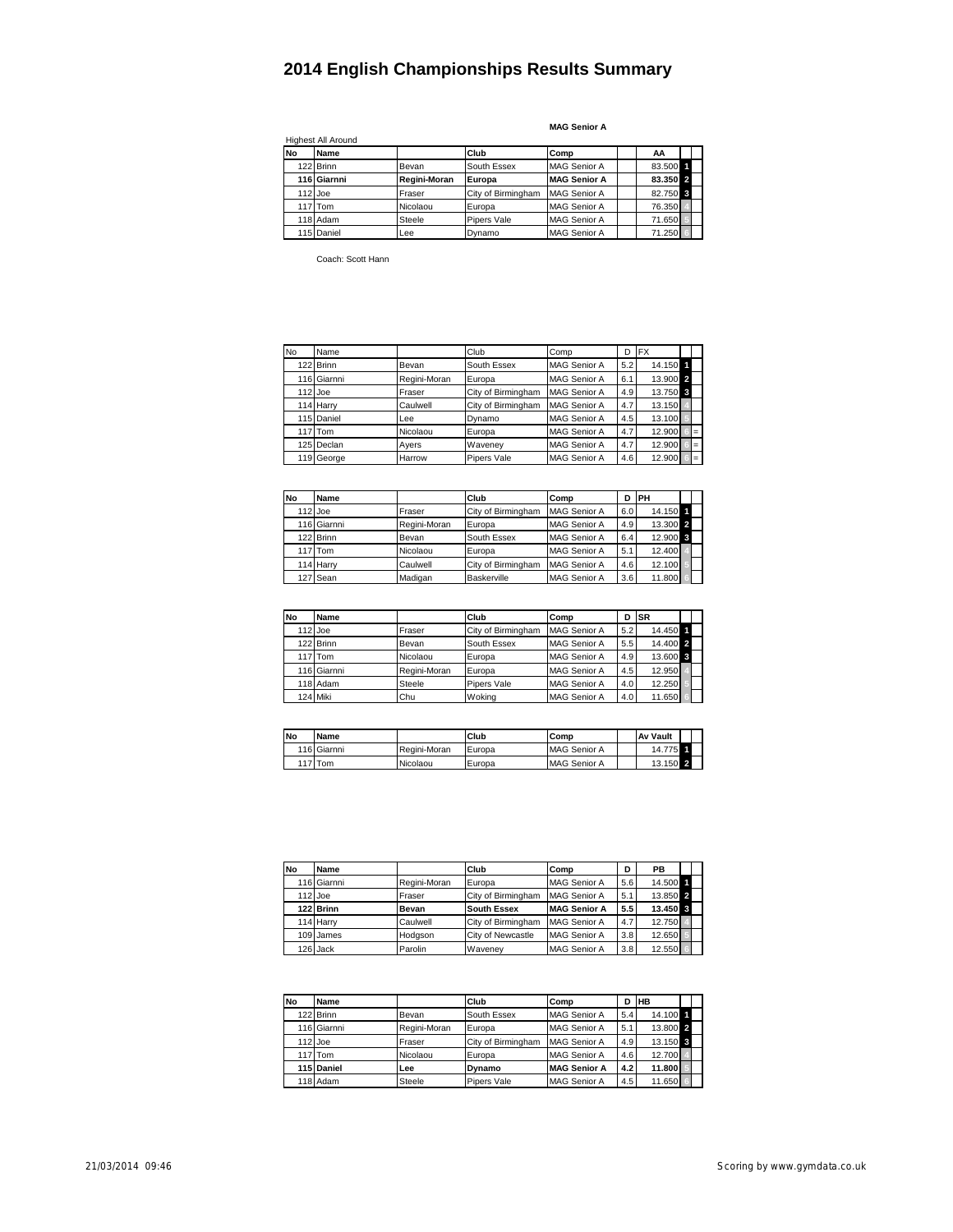|           | <b>Highest All Around</b> |              |                    |                     |          |  |
|-----------|---------------------------|--------------|--------------------|---------------------|----------|--|
| <b>No</b> | Name                      |              | Club               | Comp                | AA       |  |
|           | 122 Brinn                 | Bevan        | South Essex        | <b>MAG Senior A</b> | 83.500 1 |  |
|           | 116 Giarnni               | Regini-Moran | Europa             | <b>MAG Senior A</b> | 83.350 2 |  |
|           | $112$ Joe                 | Fraser       | City of Birmingham | <b>MAG Senior A</b> | 82.750 3 |  |
|           | 117 Tom                   | Nicolaou     | Europa             | <b>MAG Senior A</b> | 76.350   |  |
|           | 118 Adam                  | Steele       | Pipers Vale        | <b>MAG Senior A</b> | 71.650   |  |
|           | 115 Daniel                | Lee          | Dynamo             | <b>MAG Senior A</b> | 71.250   |  |

**MAG Senior A**

Coach: Scott Hann

| <b>No</b> | Name                |              | Club               | Comp                | D   | <b>FX</b> |     |
|-----------|---------------------|--------------|--------------------|---------------------|-----|-----------|-----|
|           | 122 Brinn           | Bevan        | South Essex        | <b>MAG Senior A</b> | 5.2 | 14.150 1  |     |
|           | 116 Giarnni         | Regini-Moran | Europa             | <b>MAG Senior A</b> | 6.1 | 13.900 2  |     |
|           | $112$ Joe           | Fraser       | City of Birmingham | <b>MAG Senior A</b> | 4.9 | 13.750 3  |     |
|           | 114 Harry           | Caulwell     | City of Birmingham | <b>MAG Senior A</b> | 4.7 | 13.150    |     |
|           | 115 Daniel          | Lee          | Dynamo             | <b>MAG Senior A</b> | 4.5 | 13.100    |     |
|           | 117 <sub>ITom</sub> | Nicolaou     | Europa             | <b>MAG Senior A</b> | 4.7 | 12.900    | $=$ |
|           | 125 Declan          | Ayers        | Waveney            | <b>MAG Senior A</b> | 4.7 | 12.900    | $=$ |
|           | 119 George          | Harrow       | Pipers Vale        | <b>MAG Senior A</b> | 4.6 | 12.900    | $=$ |

| No | Name        |              | Club               | Comp                | D   | <b>IPH</b> |  |
|----|-------------|--------------|--------------------|---------------------|-----|------------|--|
|    | $112$ Joe   | Fraser       | City of Birmingham | <b>MAG Senior A</b> | 6.0 | 14.150     |  |
|    | 116 Giarnni | Regini-Moran | Europa             | <b>MAG Senior A</b> | 4.9 | 13.300 2   |  |
|    | 122 Brinn   | Bevan        | South Essex        | <b>MAG Senior A</b> | 6.4 | 12.900 3   |  |
|    | 117 Tom     | Nicolaou     | Europa             | <b>MAG Senior A</b> | 5.1 | 12.400     |  |
|    | 114 Harry   | Caulwell     | City of Birmingham | <b>MAG Senior A</b> | 4.6 | 12.100     |  |
|    | 127 Sean    | Madigan      | Baskerville        | <b>MAG Senior A</b> | 3.6 | 11.800     |  |

| No | <b>Name</b> |              | Club               | Comp                | D   | <b>SR</b> |  |
|----|-------------|--------------|--------------------|---------------------|-----|-----------|--|
|    | $112$ Joe   | Fraser       | City of Birmingham | <b>MAG Senior A</b> | 5.2 | 14.450 1  |  |
|    | 122 Brinn   | Bevan        | South Essex        | <b>MAG Senior A</b> | 5.5 | 14.400 2  |  |
|    | 117 Tom     | Nicolaou     | Europa             | <b>MAG Senior A</b> | 4.9 | 13.600 3  |  |
|    | 116 Giarnni | Regini-Moran | Europa             | <b>MAG Senior A</b> | 4.5 | 12.950    |  |
|    | 118 Adam    | Steele       | Pipers Vale        | <b>MAG Senior A</b> | 4.0 | 12.250    |  |
|    | 124 Miki    | Chu          | Wokina             | <b>MAG Senior A</b> | 4.0 | 11.650    |  |

| <b>No</b> | <b>Name</b> |              | Club   | Comp                | <b>Av Vault</b> |  |
|-----------|-------------|--------------|--------|---------------------|-----------------|--|
|           | 116 Giarnni | Regini-Moran | Europa | <b>MAG Senior A</b> | 14.775          |  |
|           | 117 Tom     | Nicolaou     | Europa | <b>MAG Senior A</b> | 13.150 2        |  |

| <b>No</b> | Name        |              | Club               | Comp                | D   | <b>PB</b> |  |
|-----------|-------------|--------------|--------------------|---------------------|-----|-----------|--|
|           | 116 Giarnni | Regini-Moran | Europa             | <b>MAG Senior A</b> | 5.6 | 14.500 1  |  |
|           | $112$ Joe   | Fraser       | City of Birmingham | <b>MAG Senior A</b> | 5.1 | 13.850 2  |  |
|           | 122 Brinn   | Bevan        | <b>South Essex</b> | <b>MAG Senior A</b> | 5.5 | 13.450 3  |  |
|           | 114 Harry   | Caulwell     | City of Birmingham | <b>MAG Senior A</b> | 4.7 | 12.750    |  |
|           | 109 James   | Hodgson      | City of Newcastle  | <b>MAG Senior A</b> | 3.8 | 12.650    |  |
|           | 126 Jack    | Parolin      | Waveney            | <b>MAG Senior A</b> | 3.8 | 12.550    |  |

| <b>No</b> | Name        |              | Club               | Comp                | D   | <b>HB</b> |  |
|-----------|-------------|--------------|--------------------|---------------------|-----|-----------|--|
|           | 122 Brinn   | Bevan        | South Essex        | <b>MAG Senior A</b> | 5.4 | 14.100 1  |  |
|           | 116 Giarnni | Regini-Moran | Europa             | <b>MAG Senior A</b> | 5.1 | 13.800 2  |  |
|           | 112 Joe     | Fraser       | City of Birmingham | <b>MAG Senior A</b> | 4.9 | 13.150 3  |  |
|           | $117$ Tom   | Nicolaou     | Europa             | <b>MAG Senior A</b> | 4.6 | 12.700    |  |
|           | 115 Daniel  | Lee          | <b>Dynamo</b>      | <b>MAG Senior A</b> | 4.2 | 11.800    |  |
|           | 118 Adam    | Steele       | Pipers Vale        | <b>MAG Senior A</b> | 4.5 | 11.650    |  |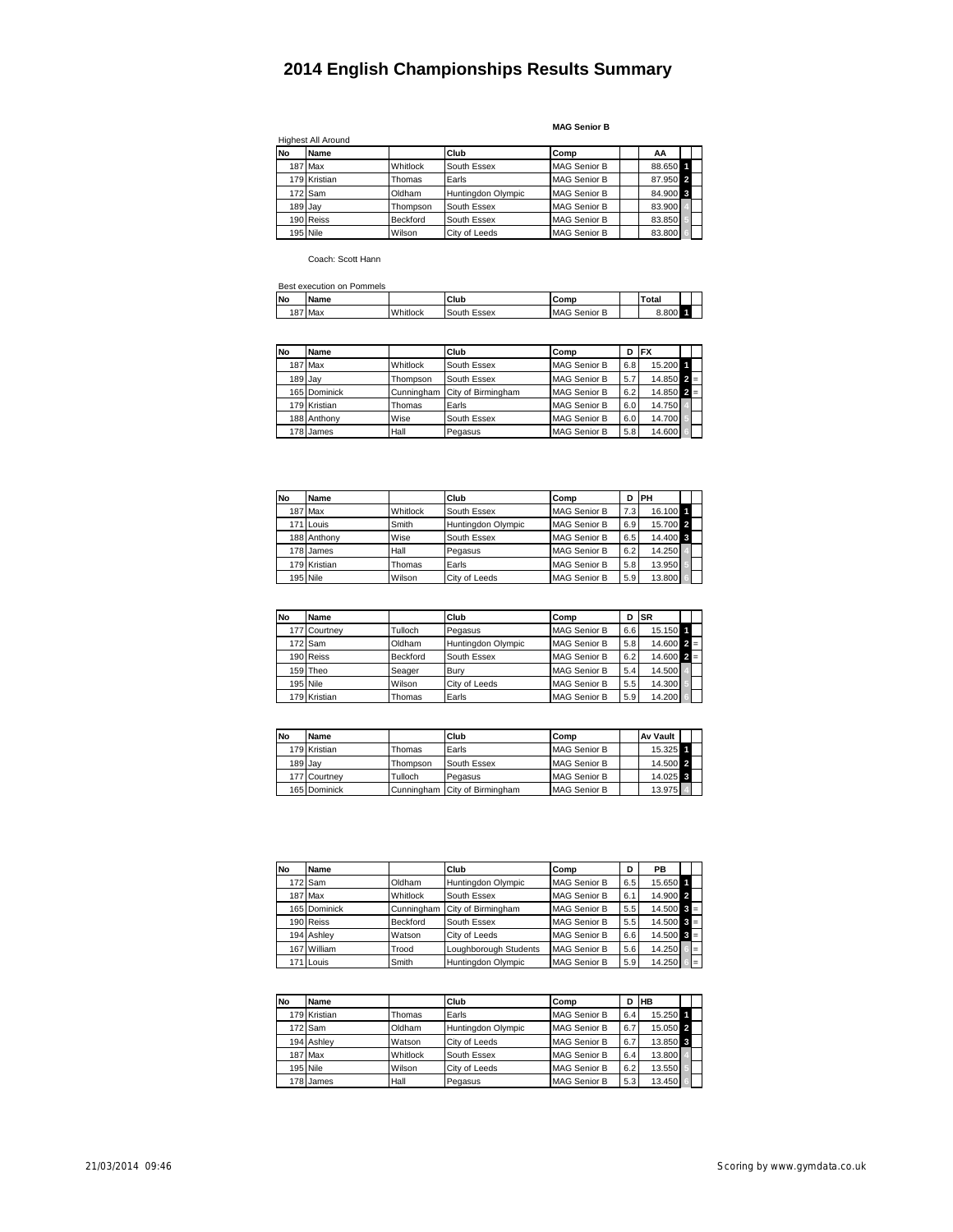**MAG Senior B**

| <b>No</b> | Name         |          | Club               | Comp                | AA       |
|-----------|--------------|----------|--------------------|---------------------|----------|
|           | 187 Max      | Whitlock | South Essex        | <b>MAG Senior B</b> | 88.650 1 |
|           | 179 Kristian | Thomas   | Earls              | <b>MAG Senior B</b> | 87.950 2 |
|           | 172 Sam      | Oldham   | Huntingdon Olympic | <b>MAG Senior B</b> | 84.900 3 |
|           | 189 Jay      | Thompson | South Essex        | <b>MAG Senior B</b> | 83.900   |
|           | 190 Reiss    | Beckford | South Essex        | <b>MAG Senior B</b> | 83.850   |
|           | 195 Nile     | Wilson   | City of Leeds      | <b>MAG Senior B</b> | 83.800   |

Coach: Scott Hann

|           | Best execution on Pommels |          |             |                     |       |  |
|-----------|---------------------------|----------|-------------|---------------------|-------|--|
| <b>No</b> | <b>Name</b>               |          | Club        | Comp                | Total |  |
|           | 187 Max                   | Whitlock | South Essex | <b>MAG Senior B</b> | 8.800 |  |

| No        | <b>Name</b>  |          | Club                          | Comp                | D   | <b>IFX</b>           |  |
|-----------|--------------|----------|-------------------------------|---------------------|-----|----------------------|--|
|           | 187 Max      | Whitlock | South Essex                   | <b>MAG Senior B</b> | 6.8 | 15.200               |  |
| $189$ Jay |              | Thompson | South Essex                   | <b>MAG Senior B</b> | 5.7 | $14.850$ $2 =$       |  |
|           | 165 Dominick |          | Cunningham City of Birmingham | <b>MAG Senior B</b> | 6.2 | $14.850$ $\bar{2}$ = |  |
|           | 179 Kristian | Thomas   | Earls                         | <b>MAG Senior B</b> | 6.0 | 14.750               |  |
|           | 188 Anthony  | Wise     | South Essex                   | <b>MAG Senior B</b> | 6.0 | 14.700               |  |
|           | 178 James    | Hall     | Pegasus                       | <b>MAG Senior B</b> | 5.8 | 14.600               |  |

| <b>No</b> | Name         |          | Club               | Comp                | D   | <b>IPH</b> |  |
|-----------|--------------|----------|--------------------|---------------------|-----|------------|--|
|           | 187 Max      | Whitlock | South Essex        | <b>MAG Senior B</b> | 7.3 | 16.100 1   |  |
|           | 171 Louis    | Smith    | Huntingdon Olympic | <b>MAG Senior B</b> | 6.9 | 15.700 2   |  |
|           | 188 Anthony  | Wise     | South Essex        | <b>MAG Senior B</b> | 6.5 | 14.400 3   |  |
|           | 178 James    | Hall     | Pegasus            | <b>MAG Senior B</b> | 6.2 | 14.250     |  |
|           | 179 Kristian | Thomas   | Earls              | <b>MAG Senior B</b> | 5.8 | 13.950     |  |
|           | 195 Nile     | Wilson   | City of Leeds      | <b>MAG Senior B</b> | 5.9 | 13.800     |  |

| <b>No</b> | <b>Name</b>  |                 | Club               | Comp                | D   | <b>ISR</b>                |  |
|-----------|--------------|-----------------|--------------------|---------------------|-----|---------------------------|--|
|           | 177 Courtney | Tulloch         | Pegasus            | <b>MAG Senior B</b> | 6.6 | 15.150                    |  |
|           | 172 Sam      | Oldham          | Huntingdon Olympic | <b>MAG Senior B</b> | 5.8 | $14.600$ $2 =$            |  |
|           | 190 Reiss    | <b>Beckford</b> | South Essex        | <b>MAG Senior B</b> | 6.2 | $14.600$ $\overline{2}$ = |  |
|           | 159 Theo     | Seager          | Bury               | <b>MAG Senior B</b> | 5.4 | 14.500                    |  |
|           | 195 Nile     | Wilson          | City of Leeds      | <b>MAG Senior B</b> | 5.5 | 14.300                    |  |
|           | 179 Kristian | Thomas          | Earls              | <b>MAG Senior B</b> | 5.9 | 14.200                    |  |

| No      | Name         |                 | Club                          | Comp                | <b>Av Vault</b> |  |
|---------|--------------|-----------------|-------------------------------|---------------------|-----------------|--|
|         | 179 Kristian | Thomas          | Earls                         | <b>MAG Senior B</b> | 15.325          |  |
| 189 Jav |              | <b>Thompson</b> | South Essex                   | <b>MAG Senior B</b> | 14.500 2        |  |
|         | 177 Courtney | Tulloch         | Pegasus                       | <b>MAG Senior B</b> | 14.025 3        |  |
|         | 165 Dominick |                 | Cunningham City of Birmingham | <b>MAG Senior B</b> | 13.975          |  |

| No | Name         |            | Club                  | Comp                | D   | PB                        |     |
|----|--------------|------------|-----------------------|---------------------|-----|---------------------------|-----|
|    | 172 Sam      | Oldham     | Huntingdon Olympic    | <b>MAG Senior B</b> | 6.5 | 15.650 1                  |     |
|    | 187 Max      | Whitlock   | South Essex           | <b>MAG Senior B</b> | 6.1 | 14.900 2                  |     |
|    | 165 Dominick | Cunningham | City of Birmingham    | <b>MAG Senior B</b> | 5.5 | $14.500$ $\Omega =$       |     |
|    | 190 Reiss    | Beckford   | South Essex           | <b>MAG Senior B</b> | 5.5 | $14.500$ $\overline{3}$ = |     |
|    | 194 Ashlev   | Watson     | City of Leeds         | <b>MAG Senior B</b> | 6.6 | $14.500$ $\overline{3}$ = |     |
|    | 167 William  | Trood      | Loughborough Students | <b>MAG Senior B</b> | 5.6 | 14.250                    | '=  |
|    | 171 Louis    | Smith      | Huntingdon Olympic    | <b>MAG Senior B</b> | 5.9 | 14.250                    | $=$ |

| No | Name         |          | Club               | Comp                |     | <b>IHB</b> |  |
|----|--------------|----------|--------------------|---------------------|-----|------------|--|
|    | 179 Kristian | Thomas   | Earls              | <b>MAG Senior B</b> | 6.4 | 15.250 1   |  |
|    | 172 Sam      | Oldham   | Huntingdon Olympic | <b>MAG Senior B</b> | 6.7 | 15.050 2   |  |
|    | 194 Ashley   | Watson   | City of Leeds      | <b>MAG Senior B</b> | 6.7 | 13.850 3   |  |
|    | 187 Max      | Whitlock | South Essex        | <b>MAG Senior B</b> | 6.4 | 13.800     |  |
|    | 195 Nile     | Wilson   | City of Leeds      | <b>MAG Senior B</b> | 6.2 | 13.550     |  |
|    | 178 James    | Hall     | Pegasus            | <b>MAG Senior B</b> | 5.3 | 13.450     |  |